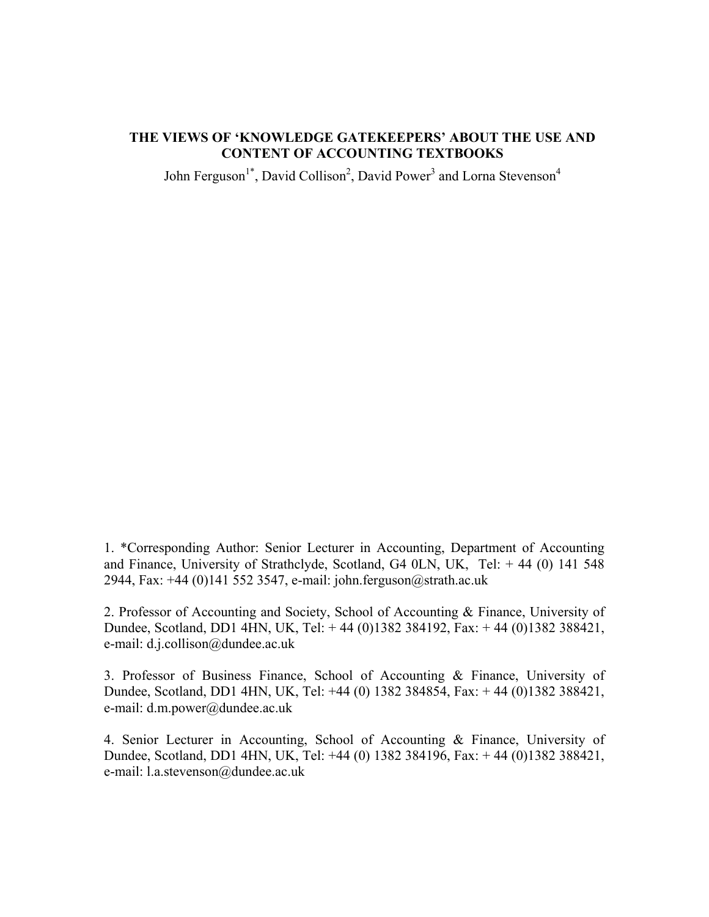## **THE VIEWS OF ëKNOWLEDGE GATEKEEPERSí ABOUT THE USE AND CONTENT OF ACCOUNTING TEXTBOOKS**

John Ferguson<sup>1\*</sup>, David Collison<sup>2</sup>, David Power<sup>3</sup> and Lorna Stevenson<sup>4</sup>

1. \*Corresponding Author: Senior Lecturer in Accounting, Department of Accounting and Finance, University of Strathclyde, Scotland, G4 0LN, UK, Tel: + 44 (0) 141 548 2944, Fax: +44 (0)141 552 3547, e-mail: john.ferguson@strath.ac.uk

2. Professor of Accounting and Society, School of Accounting & Finance, University of Dundee, Scotland, DD1 4HN, UK, Tel: + 44 (0)1382 384192, Fax: + 44 (0)1382 388421, e-mail: d.j.collison@dundee.ac.uk

3. Professor of Business Finance, School of Accounting & Finance, University of Dundee, Scotland, DD1 4HN, UK, Tel: +44 (0) 1382 384854, Fax: + 44 (0)1382 388421, e-mail: d.m.power@dundee.ac.uk

4. Senior Lecturer in Accounting, School of Accounting & Finance, University of Dundee, Scotland, DD1 4HN, UK, Tel: +44 (0) 1382 384196, Fax: + 44 (0)1382 388421, e-mail: l.a.stevenson@dundee.ac.uk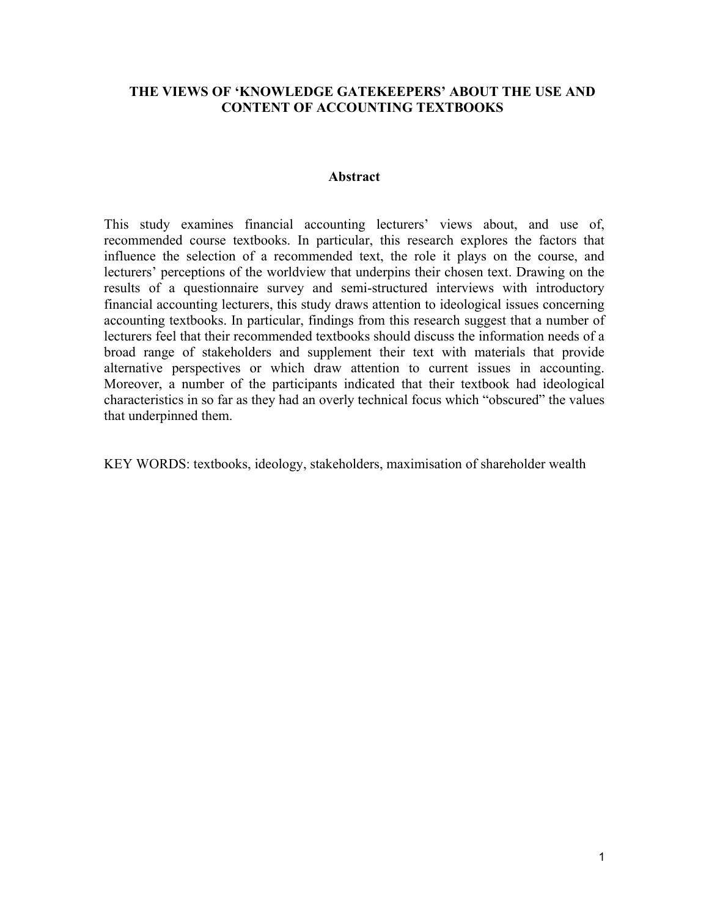# THE VIEWS OF 'KNOWLEDGE GATEKEEPERS' ABOUT THE USE AND **CONTENT OF ACCOUNTING TEXTBOOKS**

#### **Abstract**

This study examines financial accounting lecturers' views about, and use of, recommended course textbooks. In particular, this research explores the factors that influence the selection of a recommended text, the role it plays on the course, and lecturers' perceptions of the worldview that underpins their chosen text. Drawing on the results of a questionnaire survey and semi-structured interviews with introductory financial accounting lecturers, this study draws attention to ideological issues concerning accounting textbooks. In particular, findings from this research suggest that a number of lecturers feel that their recommended textbooks should discuss the information needs of a broad range of stakeholders and supplement their text with materials that provide alternative perspectives or which draw attention to current issues in accounting. Moreover, a number of the participants indicated that their textbook had ideological characteristics in so far as they had an overly technical focus which "obscured" the values that underpinned them.

KEY WORDS: textbooks, ideology, stakeholders, maximisation of shareholder wealth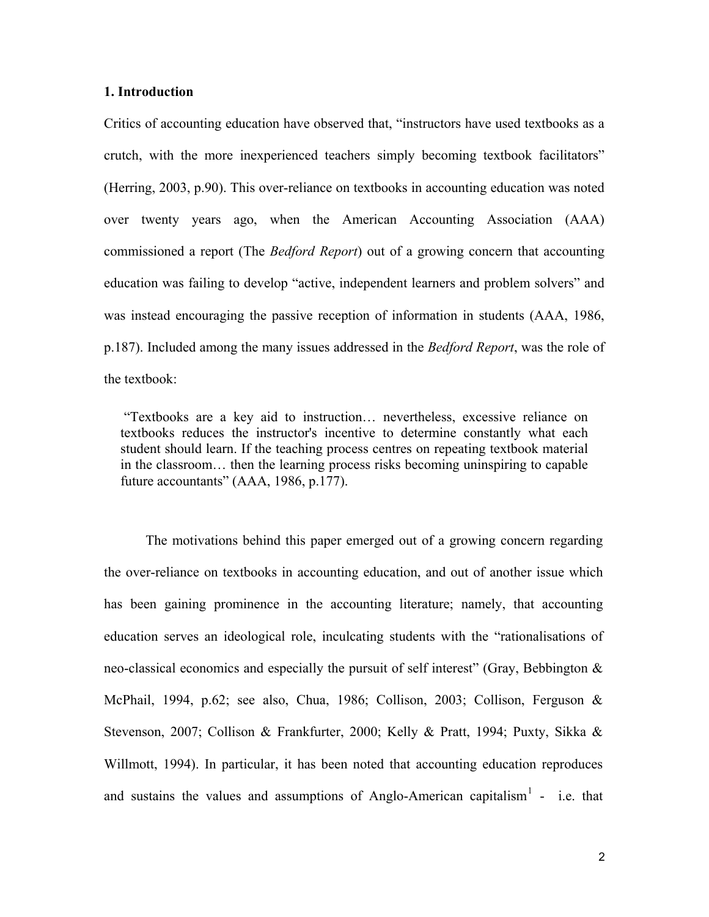#### **1. Introduction**

Critics of accounting education have observed that, "instructors have used textbooks as a crutch, with the more inexperienced teachers simply becoming textbook facilitators<sup>"</sup> (Herring, 2003, p.90). This over-reliance on textbooks in accounting education was noted over twenty years ago, when the American Accounting Association (AAA) commissioned a report (The *Bedford Report*) out of a growing concern that accounting education was failing to develop "active, independent learners and problem solvers" and was instead encouraging the passive reception of information in students (AAA, 1986, p.187). Included among the many issues addressed in the *Bedford Report*, was the role of the textbook:

 ìTextbooks are a key aid to instructionÖ nevertheless, excessive reliance on textbooks reduces the instructor's incentive to determine constantly what each student should learn. If the teaching process centres on repeating textbook material in the classroom... then the learning process risks becoming uninspiring to capable future accountants" (AAA, 1986, p.177).

The motivations behind this paper emerged out of a growing concern regarding the over-reliance on textbooks in accounting education, and out of another issue which has been gaining prominence in the accounting literature; namely, that accounting education serves an ideological role, inculcating students with the "rationalisations of neo-classical economics and especially the pursuit of self interest" (Gray, Bebbington  $\&$ McPhail, 1994, p.62; see also, Chua, 1986; Collison, 2003; Collison, Ferguson & Stevenson, 2007; Collison & Frankfurter, 2000; Kelly & Pratt, 1994; Puxty, Sikka & Willmott, 1994). In particular, it has been noted that accounting education reproduces and sustains the values and assumptions of Anglo-American capitalism<sup>[1](#page-49-0)</sup> - i.e. that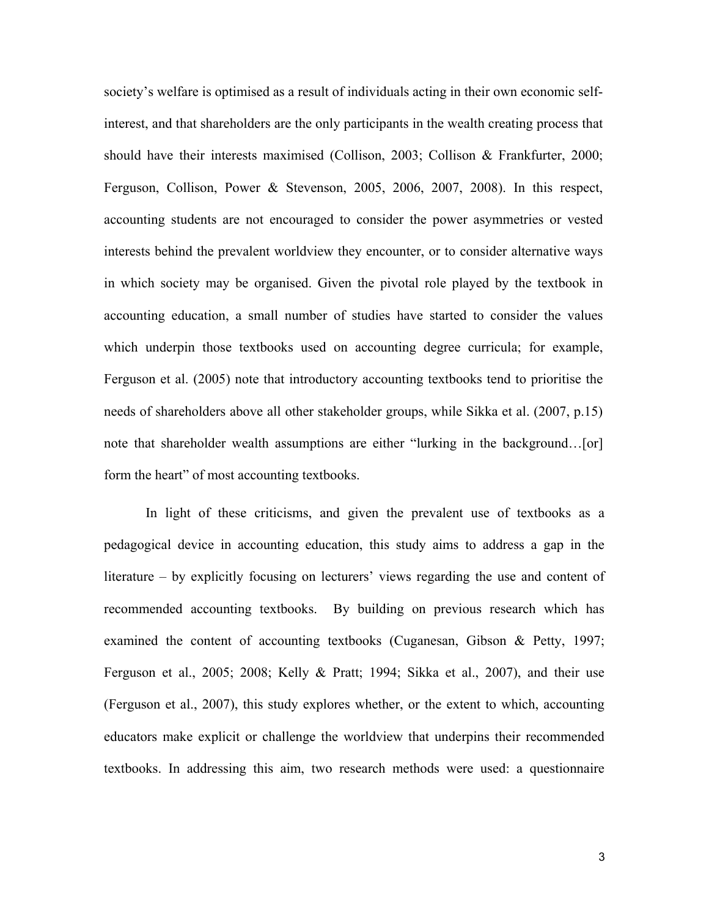society's welfare is optimised as a result of individuals acting in their own economic selfinterest, and that shareholders are the only participants in the wealth creating process that should have their interests maximised (Collison, 2003; Collison & Frankfurter, 2000; Ferguson, Collison, Power & Stevenson, 2005, 2006, 2007, 2008). In this respect, accounting students are not encouraged to consider the power asymmetries or vested interests behind the prevalent worldview they encounter, or to consider alternative ways in which society may be organised. Given the pivotal role played by the textbook in accounting education, a small number of studies have started to consider the values which underpin those textbooks used on accounting degree curricula; for example, Ferguson et al. (2005) note that introductory accounting textbooks tend to prioritise the needs of shareholders above all other stakeholder groups, while Sikka et al. (2007, p.15) note that shareholder wealth assumptions are either "lurking in the background...[or] form the heart" of most accounting textbooks.

In light of these criticisms, and given the prevalent use of textbooks as a pedagogical device in accounting education, this study aims to address a gap in the literature  $-$  by explicitly focusing on lecturers' views regarding the use and content of recommended accounting textbooks. By building on previous research which has examined the content of accounting textbooks (Cuganesan, Gibson & Petty, 1997; Ferguson et al., 2005; 2008; Kelly & Pratt; 1994; Sikka et al., 2007), and their use (Ferguson et al., 2007), this study explores whether, or the extent to which, accounting educators make explicit or challenge the worldview that underpins their recommended textbooks. In addressing this aim, two research methods were used: a questionnaire

<u>3</u> and the state of the state of the state of the state of the state of the state of the state of the state of the state of the state of the state of the state of the state of the state of the state of the state of the st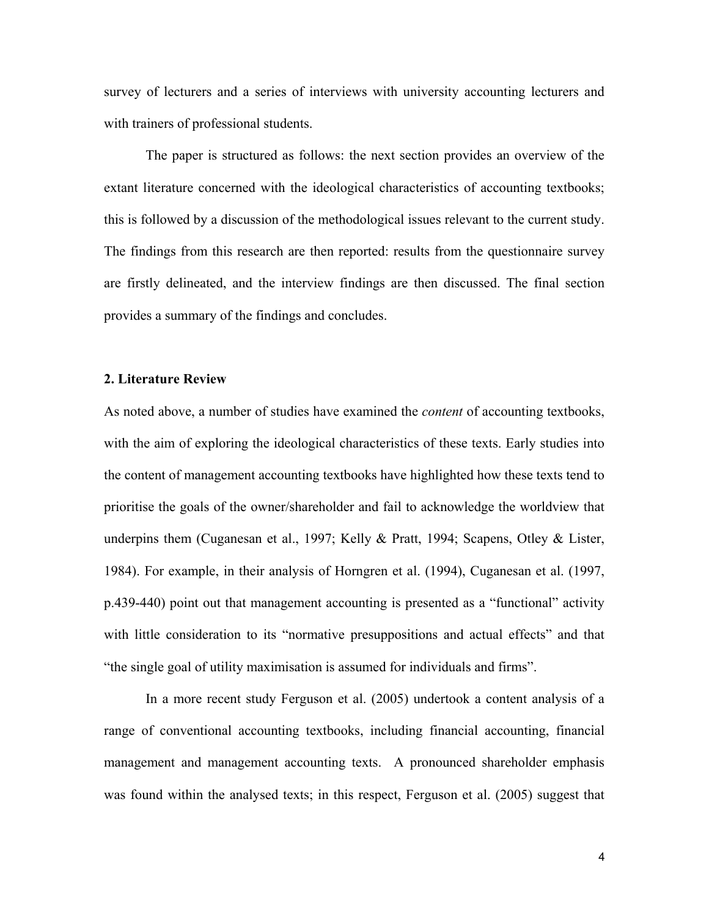survey of lecturers and a series of interviews with university accounting lecturers and with trainers of professional students.

The paper is structured as follows: the next section provides an overview of the extant literature concerned with the ideological characteristics of accounting textbooks; this is followed by a discussion of the methodological issues relevant to the current study. The findings from this research are then reported: results from the questionnaire survey are firstly delineated, and the interview findings are then discussed. The final section provides a summary of the findings and concludes.

#### **2. Literature Review**

As noted above, a number of studies have examined the *content* of accounting textbooks, with the aim of exploring the ideological characteristics of these texts. Early studies into the content of management accounting textbooks have highlighted how these texts tend to prioritise the goals of the owner/shareholder and fail to acknowledge the worldview that underpins them (Cuganesan et al., 1997; Kelly & Pratt, 1994; Scapens, Otley & Lister, 1984). For example, in their analysis of Horngren et al. (1994), Cuganesan et al. (1997, p.439-440) point out that management accounting is presented as a "functional" activity with little consideration to its "normative presuppositions and actual effects" and that "the single goal of utility maximisation is assumed for individuals and firms".

 In a more recent study Ferguson et al. (2005) undertook a content analysis of a range of conventional accounting textbooks, including financial accounting, financial management and management accounting texts. A pronounced shareholder emphasis was found within the analysed texts; in this respect, Ferguson et al. (2005) suggest that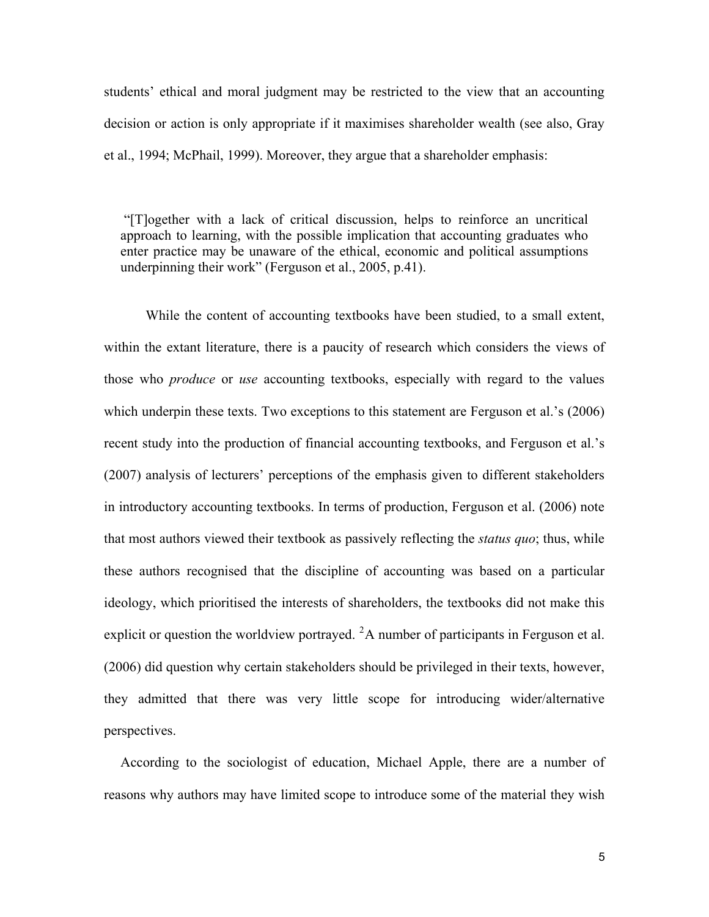students' ethical and moral judgment may be restricted to the view that an accounting decision or action is only appropriate if it maximises shareholder wealth (see also, [Gray](http://www.sciencedirect.com/science?_ob=ArticleURL&_udi=B6WC3-4DDXNW5-1&_user=10&_coverDate=03%2F31%2F2005&_rdoc=2&_fmt=high&_orig=browse&_srch=doc-info(%23toc%236727%232005%23999629998%23568688%23FLA%23display%23Volume)&_cdi=6727&_sort=d&_docanchor=&_ct=10&_acct=C000050221&_version=1&_urlVersion=0&_userid=10&md5=028e4829a2e7a72d6cdd002ff11ba0bd#bib49#bib49)  [et al., 1994](http://www.sciencedirect.com/science?_ob=ArticleURL&_udi=B6WC3-4DDXNW5-1&_user=10&_coverDate=03%2F31%2F2005&_rdoc=2&_fmt=high&_orig=browse&_srch=doc-info(%23toc%236727%232005%23999629998%23568688%23FLA%23display%23Volume)&_cdi=6727&_sort=d&_docanchor=&_ct=10&_acct=C000050221&_version=1&_urlVersion=0&_userid=10&md5=028e4829a2e7a72d6cdd002ff11ba0bd#bib49#bib49); [McPhail, 1999](http://www.sciencedirect.com/science?_ob=ArticleURL&_udi=B6WC3-4DDXNW5-1&_user=10&_coverDate=03%2F31%2F2005&_rdoc=2&_fmt=high&_orig=browse&_srch=doc-info(%23toc%236727%232005%23999629998%23568688%23FLA%23display%23Volume)&_cdi=6727&_sort=d&_docanchor=&_ct=10&_acct=C000050221&_version=1&_urlVersion=0&_userid=10&md5=028e4829a2e7a72d6cdd002ff11ba0bd#bib74#bib74)). Moreover, they argue that a shareholder emphasis:

 ì[T]ogether with a lack of critical discussion, helps to reinforce an uncritical approach to learning, with the possible implication that accounting graduates who enter practice may be unaware of the ethical, economic and political assumptions underpinning their work" (Ferguson et al.,  $2005$ , p.41).

While the content of accounting textbooks have been studied, to a small extent, within the extant literature, there is a paucity of research which considers the views of those who *produce* or *use* accounting textbooks, especially with regard to the values which underpin these texts. Two exceptions to this statement are Ferguson et al.'s  $(2006)$ recent study into the production of financial accounting textbooks, and Ferguson et al. s (2007) analysis of lecturers' perceptions of the emphasis given to different stakeholders in introductory accounting textbooks. In terms of production, Ferguson et al. (2006) note that most authors viewed their textbook as passively reflecting the *status quo*; thus, while these authors recognised that the discipline of accounting was based on a particular ideology, which prioritised the interests of shareholders, the textbooks did not make this explicit or question the worldview portrayed.  ${}^{2}A$  ${}^{2}A$  ${}^{2}A$  number of participants in Ferguson et al. (2006) did question why certain stakeholders should be privileged in their texts, however, they admitted that there was very little scope for introducing wider/alternative perspectives.

According to the sociologist of education, Michael Apple, there are a number of reasons why authors may have limited scope to introduce some of the material they wish

<u>5</u> September 2005 and the second contract of the second contract of the second contract of the second contract of the second contract of the second contract of the second contract of the second contract of the second cont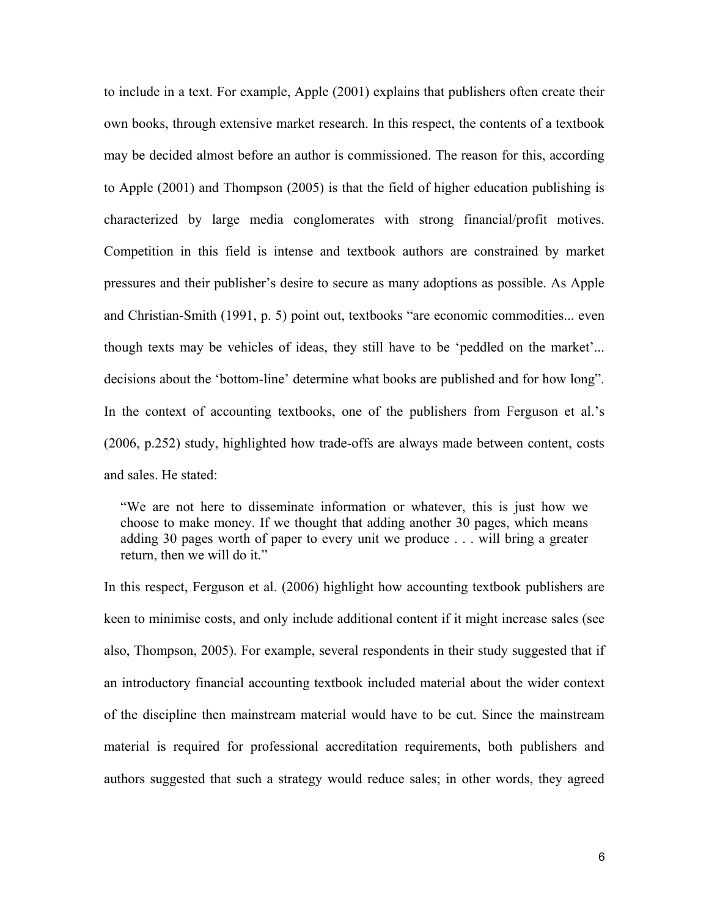to include in a text. For example, Apple (2001) explains that publishers often create their own books, through extensive market research. In this respect, the contents of a textbook may be decided almost before an author is commissioned. The reason for this, according to Apple (2001) and Thompson (2005) is that the field of higher education publishing is characterized by large media conglomerates with strong financial/profit motives. Competition in this field is intense and textbook authors are constrained by market pressures and their publisher's desire to secure as many adoptions as possible. As Apple and Christian-Smith (1991, p. 5) point out, textbooks "are economic commodities... even though texts may be vehicles of ideas, they still have to be 'peddled on the market'... decisions about the 'bottom-line' determine what books are published and for how long". In the context of accounting textbooks, one of the publishers from Ferguson et al.'s (2006, p.252) study, highlighted how trade-offs are always made between content, costs and sales. He stated:

ìWe are not here to disseminate information or whatever, this is just how we choose to make money. If we thought that adding another 30 pages, which means adding 30 pages worth of paper to every unit we produce . . . will bring a greater return, then we will do it."

In this respect, Ferguson et al. (2006) highlight how accounting textbook publishers are keen to minimise costs, and only include additional content if it might increase sales (see also, [Thompson, 2005\)](http://www.sciencedirect.com/science?_ob=ArticleURL&_udi=B7GWN-4MMP2GR-1&_user=7098273&_coverDate=06%2F30%2F2007&_rdoc=2&_fmt=high&_orig=browse&_srch=doc-info(%23toc%2320463%232007%23999689997%23651546%23FLA%23display%23Volume)&_cdi=20463&_sort=d&_docanchor=&_ct=6&_acct=C000050565&_version=1&_urlVersion=0&_userid=7098273&md5=a0af1b1a200950d2ba7516aa19068499#bib59#bib59). For example, several respondents in their study suggested that if an introductory financial accounting textbook included material about the wider context of the discipline then mainstream material would have to be cut. Since the mainstream material is required for professional accreditation requirements, both publishers and authors suggested that such a strategy would reduce sales; in other words, they agreed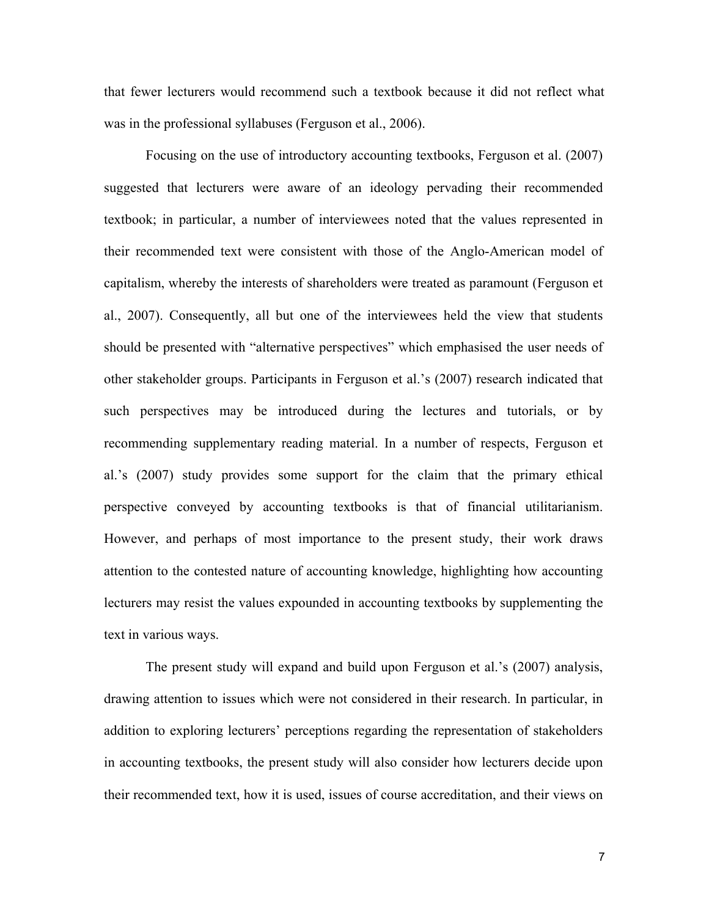that fewer lecturers would recommend such a textbook because it did not reflect what was in the professional syllabuses ([Ferguson et al., 2006](http://www.sciencedirect.com/science?_ob=ArticleURL&_udi=B7GWN-4MMP2GR-1&_user=7098273&_coverDate=06%2F30%2F2007&_rdoc=2&_fmt=high&_orig=browse&_srch=doc-info(%23toc%2320463%232007%23999689997%23651546%23FLA%23display%23Volume)&_cdi=20463&_sort=d&_docanchor=&_ct=6&_acct=C000050565&_version=1&_urlVersion=0&_userid=7098273&md5=a0af1b1a200950d2ba7516aa19068499#bib27#bib27)).

Focusing on the use of introductory accounting textbooks, Ferguson et al. (2007) suggested that lecturers were aware of an ideology pervading their recommended textbook; in particular, a number of interviewees noted that the values represented in their recommended text were consistent with those of the Anglo-American model of capitalism, whereby the interests of shareholders were treated as paramount (Ferguson et al., 2007). Consequently, all but one of the interviewees held the view that students should be presented with "alternative perspectives" which emphasised the user needs of other stakeholder groups. Participants in Ferguson et al.'s (2007) research indicated that such perspectives may be introduced during the lectures and tutorials, or by recommending supplementary reading material. In a number of respects, Ferguson et al.ís (2007) study provides some support for the claim that the primary ethical perspective conveyed by accounting textbooks is that of financial utilitarianism. However, and perhaps of most importance to the present study, their work draws attention to the contested nature of accounting knowledge, highlighting how accounting lecturers may resist the values expounded in accounting textbooks by supplementing the text in various ways.

The present study will expand and build upon Ferguson et al.'s (2007) analysis, drawing attention to issues which were not considered in their research. In particular, in addition to exploring lecturers' perceptions regarding the representation of stakeholders in accounting textbooks, the present study will also consider how lecturers decide upon their recommended text, how it is used, issues of course accreditation, and their views on

<u>7</u> The contract of the contract of the contract of the contract of the contract of the contract of the contract of the contract of the contract of the contract of the contract of the contract of the contract of the contra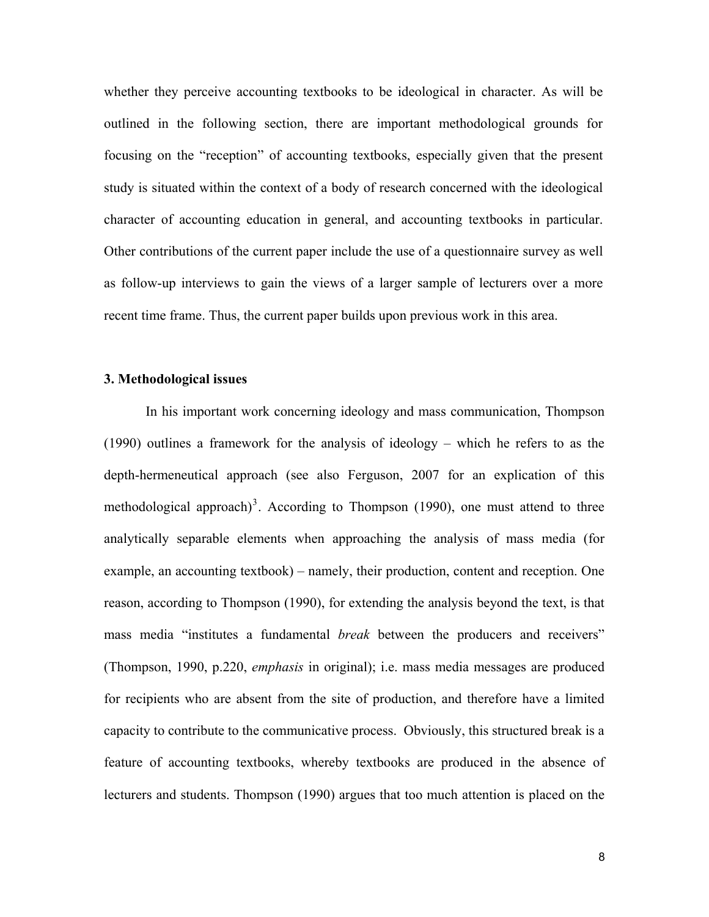whether they perceive accounting textbooks to be ideological in character. As will be outlined in the following section, there are important methodological grounds for focusing on the "reception" of accounting textbooks, especially given that the present study is situated within the context of a body of research concerned with the ideological character of accounting education in general, and accounting textbooks in particular. Other contributions of the current paper include the use of a questionnaire survey as well as follow-up interviews to gain the views of a larger sample of lecturers over a more recent time frame. Thus, the current paper builds upon previous work in this area.

## **3. Methodological issues**

In his important work concerning ideology and mass communication, Thompson (1990) outlines a framework for the analysis of ideology  $-$  which he refers to as the depth-hermeneutical approach (see also Ferguson, 2007 for an explication of this methodological approach)<sup>[3](#page-49-1)</sup>. According to Thompson (1990), one must attend to three analytically separable elements when approaching the analysis of mass media (for example, an accounting textbook) – namely, their production, content and reception. One reason, according to Thompson (1990), for extending the analysis beyond the text, is that mass media "institutes a fundamental *break* between the producers and receivers" (Thompson, 1990, p.220, *emphasis* in original); i.e. mass media messages are produced for recipients who are absent from the site of production, and therefore have a limited capacity to contribute to the communicative process. Obviously, this structured break is a feature of accounting textbooks, whereby textbooks are produced in the absence of lecturers and students. Thompson (1990) argues that too much attention is placed on the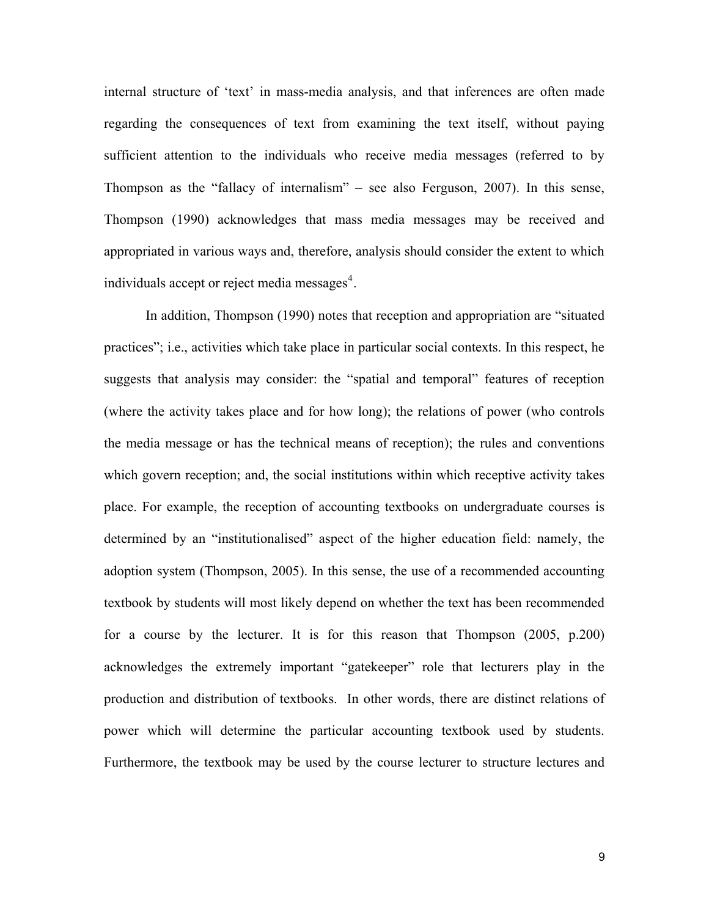internal structure of 'text' in mass-media analysis, and that inferences are often made regarding the consequences of text from examining the text itself, without paying sufficient attention to the individuals who receive media messages (referred to by Thompson as the "fallacy of internalism"  $-$  see also Ferguson, 2007). In this sense, Thompson (1990) acknowledges that mass media messages may be received and appropriated in various ways and, therefore, analysis should consider the extent to which individuals accept or reject media messages<sup>[4](#page-49-1)</sup>.

In addition, Thompson (1990) notes that reception and appropriation are "situated practices"; i.e., activities which take place in particular social contexts. In this respect, he suggests that analysis may consider: the "spatial and temporal" features of reception (where the activity takes place and for how long); the relations of power (who controls the media message or has the technical means of reception); the rules and conventions which govern reception; and, the social institutions within which receptive activity takes place. For example, the reception of accounting textbooks on undergraduate courses is determined by an "institutionalised" aspect of the higher education field: namely, the adoption system (Thompson, 2005). In this sense, the use of a recommended accounting textbook by students will most likely depend on whether the text has been recommended for a course by the lecturer. It is for this reason that Thompson (2005, p.200) acknowledges the extremely important "gatekeeper" role that lecturers play in the production and distribution of textbooks. In other words, there are distinct relations of power which will determine the particular accounting textbook used by students. Furthermore, the textbook may be used by the course lecturer to structure lectures and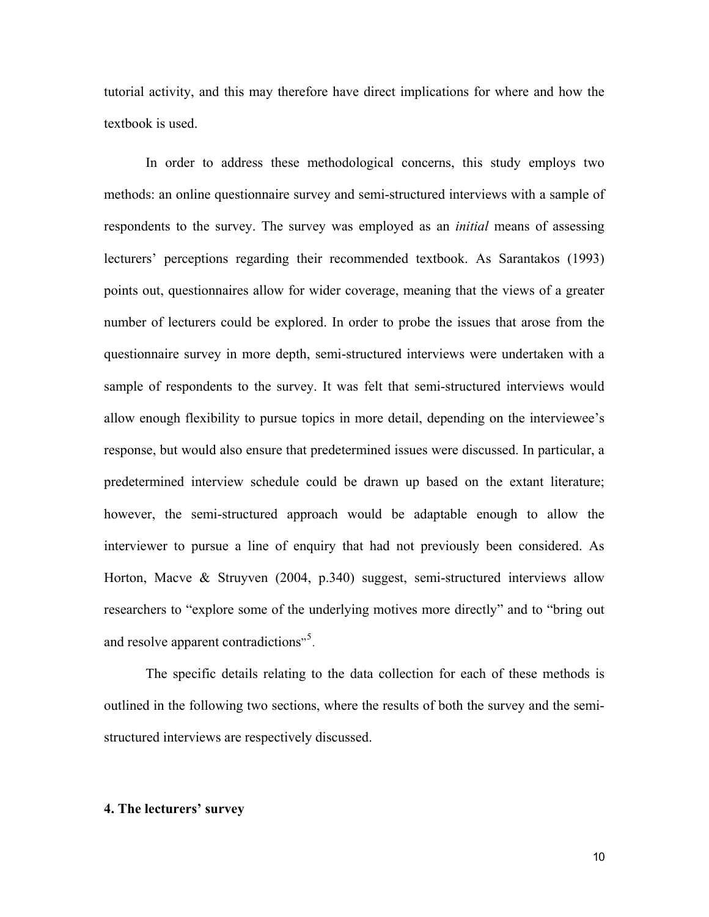tutorial activity, and this may therefore have direct implications for where and how the textbook is used.

In order to address these methodological concerns, this study employs two methods: an online questionnaire survey and semi-structured interviews with a sample of respondents to the survey. The survey was employed as an *initial* means of assessing lecturers' perceptions regarding their recommended textbook. As Sarantakos (1993) points out, questionnaires allow for wider coverage, meaning that the views of a greater number of lecturers could be explored. In order to probe the issues that arose from the questionnaire survey in more depth, semi-structured interviews were undertaken with a sample of respondents to the survey. It was felt that semi-structured interviews would allow enough flexibility to pursue topics in more detail, depending on the interviewee's response, but would also ensure that predetermined issues were discussed. In particular, a predetermined interview schedule could be drawn up based on the extant literature; however, the semi-structured approach would be adaptable enough to allow the interviewer to pursue a line of enquiry that had not previously been considered. As Horton, Macve & Struyven (2004, p.340) suggest, semi-structured interviews allow researchers to "explore some of the underlying motives more directly" and to "bring out and resolve apparent contradictions"<sup>[5](#page-49-1)</sup>.

The specific details relating to the data collection for each of these methods is outlined in the following two sections, where the results of both the survey and the semistructured interviews are respectively discussed.

## **4. The lecturers' survey**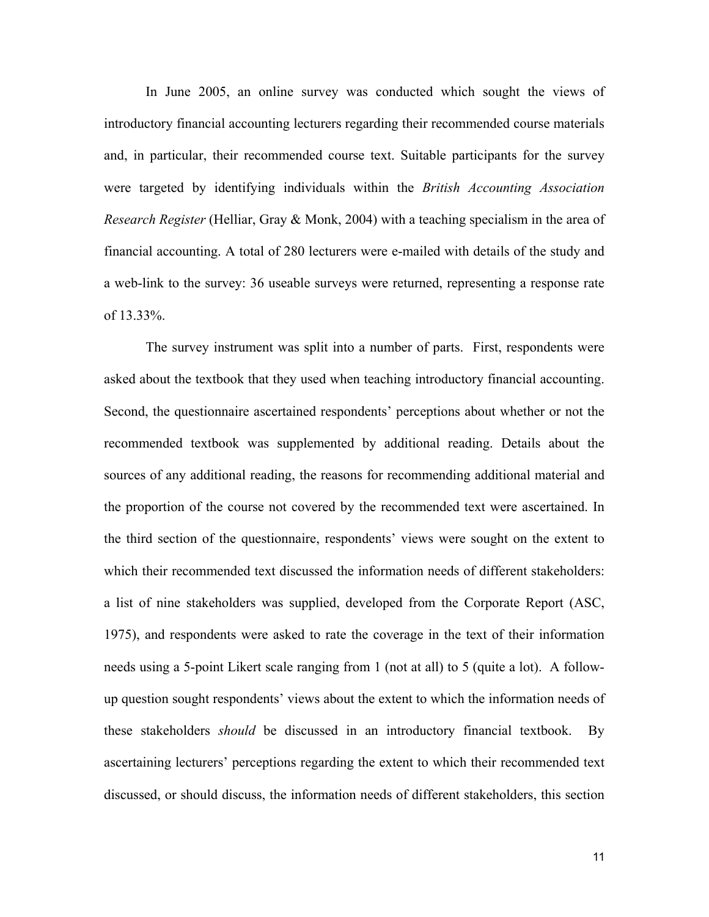In June 2005, an online survey was conducted which sought the views of introductory financial accounting lecturers regarding their recommended course materials and, in particular, their recommended course text. Suitable participants for the survey were targeted by identifying individuals within the *British Accounting Association Research Register* (Helliar, Gray & Monk, 2004) with a teaching specialism in the area of financial accounting. A total of 280 lecturers were e-mailed with details of the study and a web-link to the survey: 36 useable surveys were returned, representing a response rate of 13.33%.

The survey instrument was split into a number of parts. First, respondents were asked about the textbook that they used when teaching introductory financial accounting. Second, the questionnaire ascertained respondents' perceptions about whether or not the recommended textbook was supplemented by additional reading. Details about the sources of any additional reading, the reasons for recommending additional material and the proportion of the course not covered by the recommended text were ascertained. In the third section of the questionnaire, respondents' views were sought on the extent to which their recommended text discussed the information needs of different stakeholders: a list of nine stakeholders was supplied, developed from the Corporate Report (ASC, 1975), and respondents were asked to rate the coverage in the text of their information needs using a 5-point Likert scale ranging from 1 (not at all) to 5 (quite a lot). A followup question sought respondentsí views about the extent to which the information needs of these stakeholders *should* be discussed in an introductory financial textbook. By ascertaining lecturers' perceptions regarding the extent to which their recommended text discussed, or should discuss, the information needs of different stakeholders, this section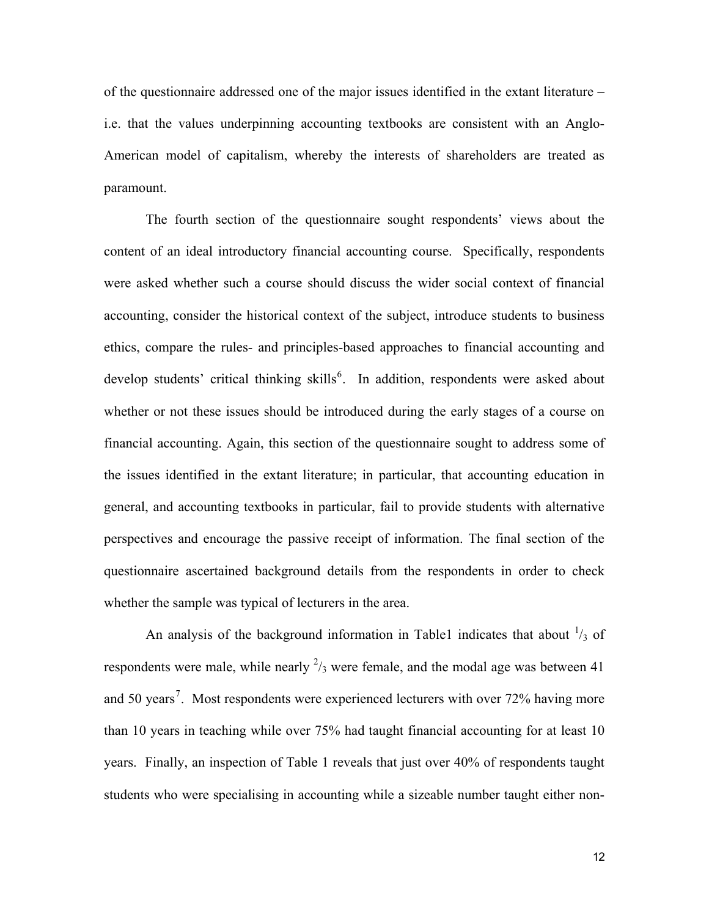of the questionnaire addressed one of the major issues identified in the extant literature  $$ i.e. that the values underpinning accounting textbooks are consistent with an Anglo-American model of capitalism, whereby the interests of shareholders are treated as paramount.

The fourth section of the questionnaire sought respondents' views about the content of an ideal introductory financial accounting course. Specifically, respondents were asked whether such a course should discuss the wider social context of financial accounting, consider the historical context of the subject, introduce students to business ethics, compare the rules- and principles-based approaches to financial accounting and develop students' critical thinking skills<sup>[6](#page-49-1)</sup>. In addition, respondents were asked about whether or not these issues should be introduced during the early stages of a course on financial accounting. Again, this section of the questionnaire sought to address some of the issues identified in the extant literature; in particular, that accounting education in general, and accounting textbooks in particular, fail to provide students with alternative perspectives and encourage the passive receipt of information. The final section of the questionnaire ascertained background details from the respondents in order to check whether the sample was typical of lecturers in the area.

An analysis of the background information in Table1 indicates that about  $\frac{1}{3}$  of respondents were male, while nearly  $\frac{2}{3}$  were female, and the modal age was between 41 and 50 years<sup>[7](#page-50-0)</sup>. Most respondents were experienced lecturers with over  $72\%$  having more than 10 years in teaching while over 75% had taught financial accounting for at least 10 years. Finally, an inspection of Table 1 reveals that just over 40% of respondents taught students who were specialising in accounting while a sizeable number taught either non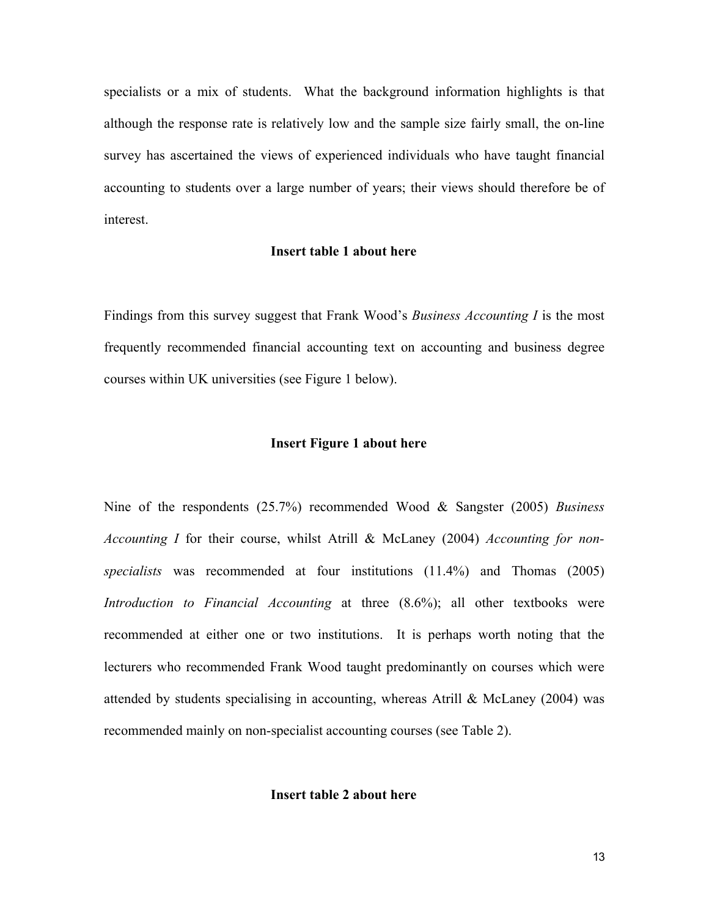specialists or a mix of students. What the background information highlights is that although the response rate is relatively low and the sample size fairly small, the on-line survey has ascertained the views of experienced individuals who have taught financial accounting to students over a large number of years; their views should therefore be of interest.

### **Insert table 1 about here**

Findings from this survey suggest that Frank Wood's *Business Accounting I* is the most frequently recommended financial accounting text on accounting and business degree courses within UK universities (see Figure 1 below).

#### **Insert Figure 1 about here**

Nine of the respondents (25.7%) recommended Wood & Sangster (2005) *Business Accounting I* for their course, whilst Atrill & McLaney (2004) *Accounting for nonspecialists* was recommended at four institutions (11.4%) and Thomas (2005) *Introduction to Financial Accounting* at three (8.6%); all other textbooks were recommended at either one or two institutions. It is perhaps worth noting that the lecturers who recommended Frank Wood taught predominantly on courses which were attended by students specialising in accounting, whereas Atrill  $\&$  McLaney (2004) was recommended mainly on non-specialist accounting courses (see Table 2).

#### **Insert table 2 about here**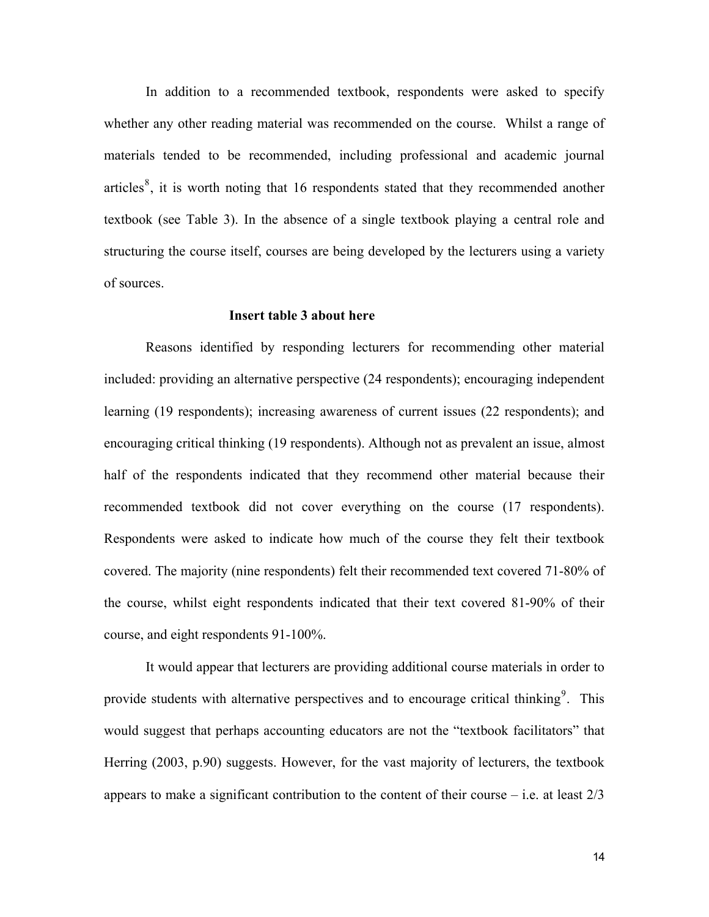In addition to a recommended textbook, respondents were asked to specify whether any other reading material was recommended on the course. Whilst a range of materials tended to be recommended, including professional and academic journal articles $\delta$ , it is worth noting that 16 respondents stated that they recommended another textbook (see Table 3). In the absence of a single textbook playing a central role and structuring the course itself, courses are being developed by the lecturers using a variety of sources.

#### **Insert table 3 about here**

 Reasons identified by responding lecturers for recommending other material included: providing an alternative perspective (24 respondents); encouraging independent learning (19 respondents); increasing awareness of current issues (22 respondents); and encouraging critical thinking (19 respondents). Although not as prevalent an issue, almost half of the respondents indicated that they recommend other material because their recommended textbook did not cover everything on the course (17 respondents). Respondents were asked to indicate how much of the course they felt their textbook covered. The majority (nine respondents) felt their recommended text covered 71-80% of the course, whilst eight respondents indicated that their text covered 81-90% of their course, and eight respondents 91-100%.

It would appear that lecturers are providing additional course materials in order to provide students with alternative perspectives and to encourage critical thinking<sup>[9](#page-50-0)</sup>. This would suggest that perhaps accounting educators are not the "textbook facilitators" that Herring (2003, p.90) suggests. However, for the vast majority of lecturers, the textbook appears to make a significant contribution to the content of their course  $-$  i.e. at least  $2/3$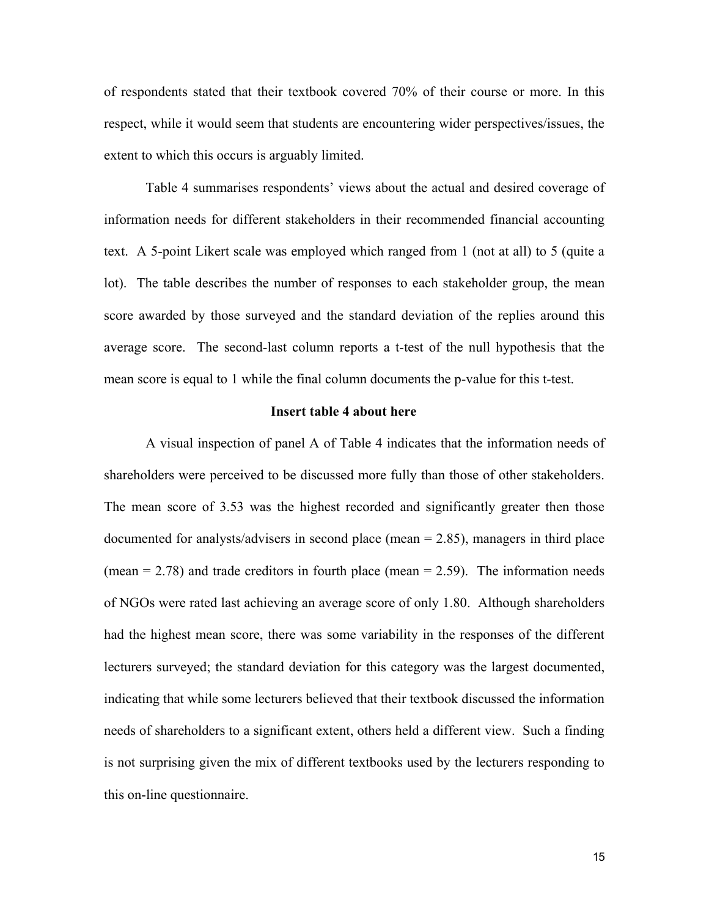of respondents stated that their textbook covered 70% of their course or more. In this respect, while it would seem that students are encountering wider perspectives/issues, the extent to which this occurs is arguably limited.

Table 4 summarises respondents' views about the actual and desired coverage of information needs for different stakeholders in their recommended financial accounting text. A 5-point Likert scale was employed which ranged from 1 (not at all) to 5 (quite a lot). The table describes the number of responses to each stakeholder group, the mean score awarded by those surveyed and the standard deviation of the replies around this average score. The second-last column reports a t-test of the null hypothesis that the mean score is equal to 1 while the final column documents the p-value for this t-test.

#### **Insert table 4 about here**

 A visual inspection of panel A of Table 4 indicates that the information needs of shareholders were perceived to be discussed more fully than those of other stakeholders. The mean score of 3.53 was the highest recorded and significantly greater then those documented for analysts/advisers in second place (mean  $= 2.85$ ), managers in third place (mean  $= 2.78$ ) and trade creditors in fourth place (mean  $= 2.59$ ). The information needs of NGOs were rated last achieving an average score of only 1.80. Although shareholders had the highest mean score, there was some variability in the responses of the different lecturers surveyed; the standard deviation for this category was the largest documented, indicating that while some lecturers believed that their textbook discussed the information needs of shareholders to a significant extent, others held a different view. Such a finding is not surprising given the mix of different textbooks used by the lecturers responding to this on-line questionnaire.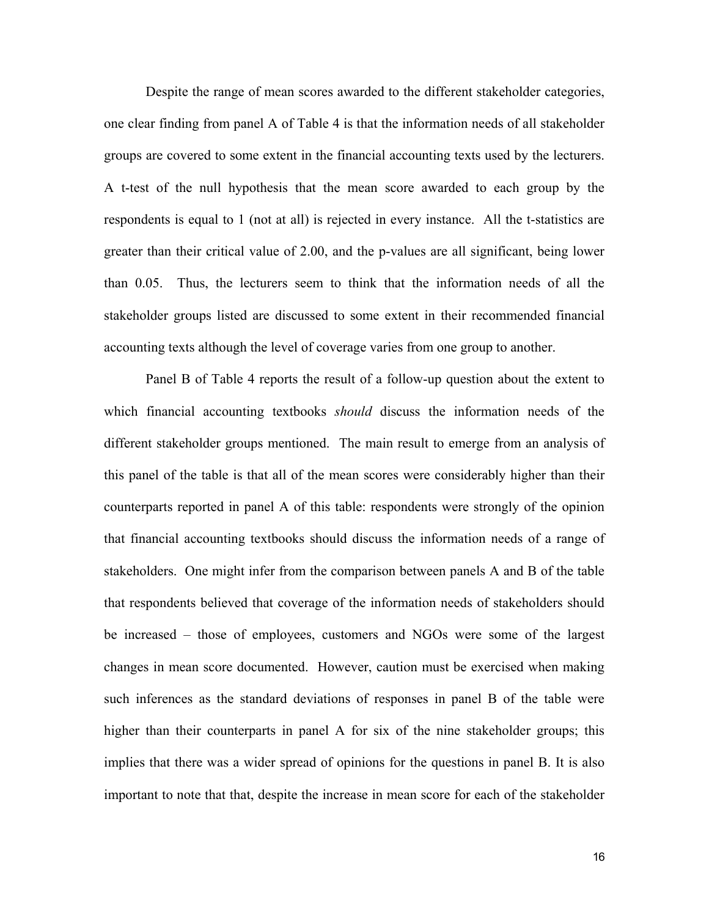Despite the range of mean scores awarded to the different stakeholder categories, one clear finding from panel A of Table 4 is that the information needs of all stakeholder groups are covered to some extent in the financial accounting texts used by the lecturers. A t-test of the null hypothesis that the mean score awarded to each group by the respondents is equal to 1 (not at all) is rejected in every instance. All the t-statistics are greater than their critical value of 2.00, and the p-values are all significant, being lower than 0.05. Thus, the lecturers seem to think that the information needs of all the stakeholder groups listed are discussed to some extent in their recommended financial accounting texts although the level of coverage varies from one group to another.

 Panel B of Table 4 reports the result of a follow-up question about the extent to which financial accounting textbooks *should* discuss the information needs of the different stakeholder groups mentioned. The main result to emerge from an analysis of this panel of the table is that all of the mean scores were considerably higher than their counterparts reported in panel A of this table: respondents were strongly of the opinion that financial accounting textbooks should discuss the information needs of a range of stakeholders. One might infer from the comparison between panels A and B of the table that respondents believed that coverage of the information needs of stakeholders should be increased – those of employees, customers and NGOs were some of the largest changes in mean score documented. However, caution must be exercised when making such inferences as the standard deviations of responses in panel B of the table were higher than their counterparts in panel A for six of the nine stakeholder groups; this implies that there was a wider spread of opinions for the questions in panel B. It is also important to note that that, despite the increase in mean score for each of the stakeholder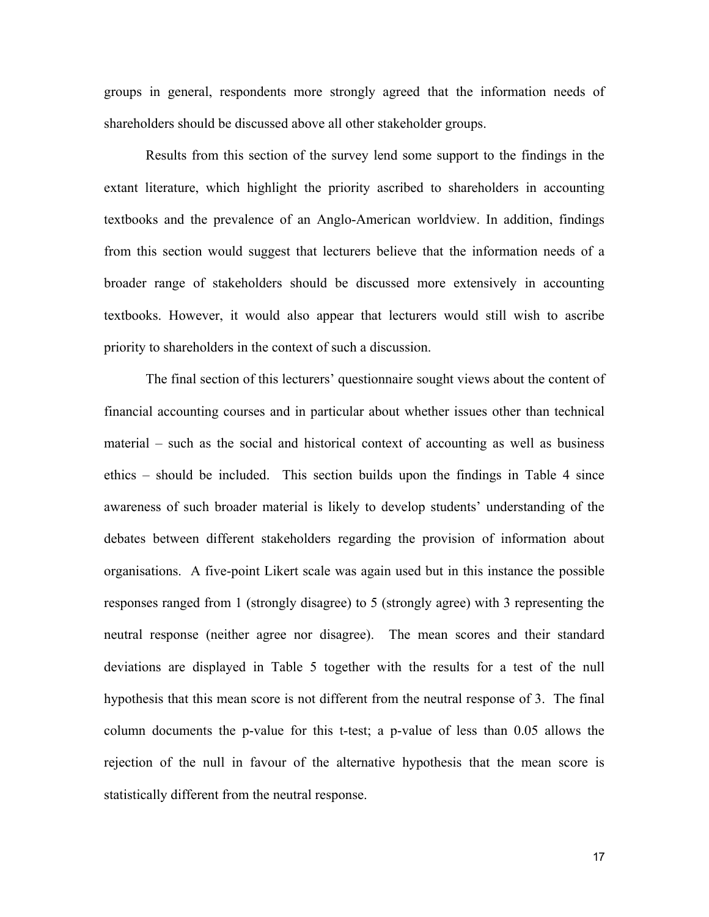groups in general, respondents more strongly agreed that the information needs of shareholders should be discussed above all other stakeholder groups.

 Results from this section of the survey lend some support to the findings in the extant literature, which highlight the priority ascribed to shareholders in accounting textbooks and the prevalence of an Anglo-American worldview. In addition, findings from this section would suggest that lecturers believe that the information needs of a broader range of stakeholders should be discussed more extensively in accounting textbooks. However, it would also appear that lecturers would still wish to ascribe priority to shareholders in the context of such a discussion.

The final section of this lecturers' questionnaire sought views about the content of financial accounting courses and in particular about whether issues other than technical material  $-$  such as the social and historical context of accounting as well as business ethics  $-$  should be included. This section builds upon the findings in Table 4 since awareness of such broader material is likely to develop students' understanding of the debates between different stakeholders regarding the provision of information about organisations. A five-point Likert scale was again used but in this instance the possible responses ranged from 1 (strongly disagree) to 5 (strongly agree) with 3 representing the neutral response (neither agree nor disagree). The mean scores and their standard deviations are displayed in Table 5 together with the results for a test of the null hypothesis that this mean score is not different from the neutral response of 3. The final column documents the p-value for this t-test; a p-value of less than 0.05 allows the rejection of the null in favour of the alternative hypothesis that the mean score is statistically different from the neutral response.

17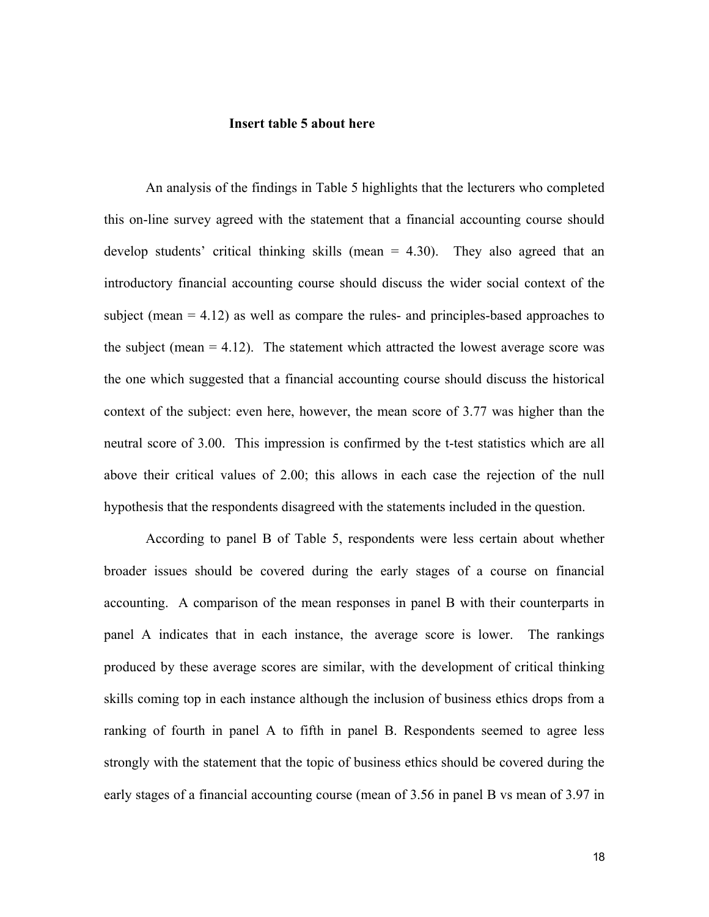#### **Insert table 5 about here**

 An analysis of the findings in Table 5 highlights that the lecturers who completed this on-line survey agreed with the statement that a financial accounting course should develop students' critical thinking skills (mean  $= 4.30$ ). They also agreed that an introductory financial accounting course should discuss the wider social context of the subject (mean  $= 4.12$ ) as well as compare the rules- and principles-based approaches to the subject (mean  $= 4.12$ ). The statement which attracted the lowest average score was the one which suggested that a financial accounting course should discuss the historical context of the subject: even here, however, the mean score of 3.77 was higher than the neutral score of 3.00. This impression is confirmed by the t-test statistics which are all above their critical values of 2.00; this allows in each case the rejection of the null hypothesis that the respondents disagreed with the statements included in the question.

 According to panel B of Table 5, respondents were less certain about whether broader issues should be covered during the early stages of a course on financial accounting. A comparison of the mean responses in panel B with their counterparts in panel A indicates that in each instance, the average score is lower. The rankings produced by these average scores are similar, with the development of critical thinking skills coming top in each instance although the inclusion of business ethics drops from a ranking of fourth in panel A to fifth in panel B. Respondents seemed to agree less strongly with the statement that the topic of business ethics should be covered during the early stages of a financial accounting course (mean of 3.56 in panel B vs mean of 3.97 in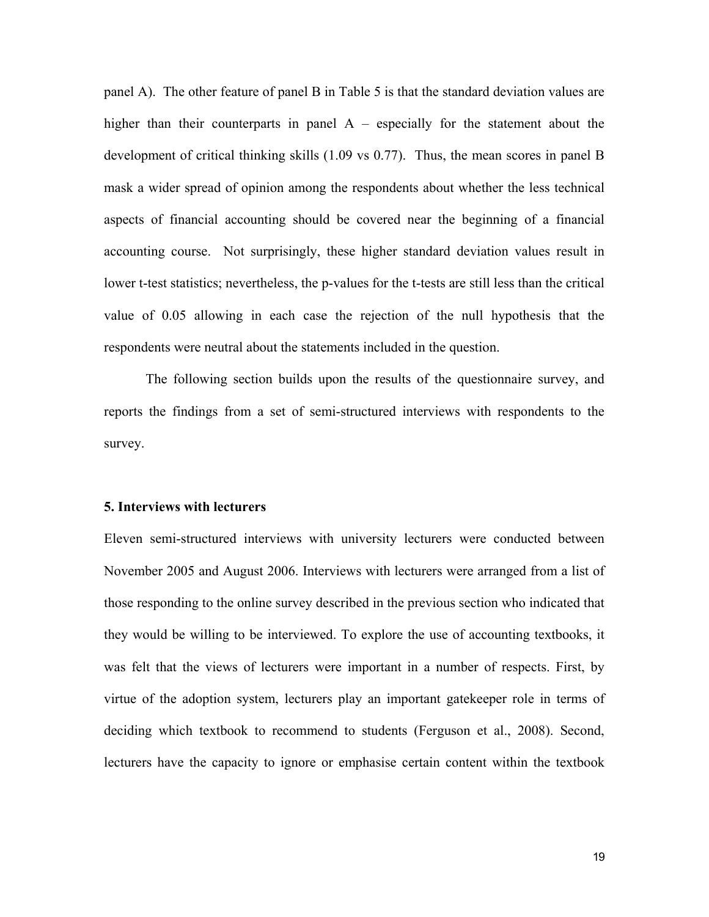panel A). The other feature of panel B in Table 5 is that the standard deviation values are higher than their counterparts in panel  $A -$  especially for the statement about the development of critical thinking skills (1.09 vs 0.77). Thus, the mean scores in panel B mask a wider spread of opinion among the respondents about whether the less technical aspects of financial accounting should be covered near the beginning of a financial accounting course. Not surprisingly, these higher standard deviation values result in lower t-test statistics; nevertheless, the p-values for the t-tests are still less than the critical value of 0.05 allowing in each case the rejection of the null hypothesis that the respondents were neutral about the statements included in the question.

 The following section builds upon the results of the questionnaire survey, and reports the findings from a set of semi-structured interviews with respondents to the survey.

#### **5. Interviews with lecturers**

Eleven semi-structured interviews with university lecturers were conducted between November 2005 and August 2006. Interviews with lecturers were arranged from a list of those responding to the online survey described in the previous section who indicated that they would be willing to be interviewed. To explore the use of accounting textbooks, it was felt that the views of lecturers were important in a number of respects. First, by virtue of the adoption system, lecturers play an important gatekeeper role in terms of deciding which textbook to recommend to students (Ferguson et al., 2008). Second, lecturers have the capacity to ignore or emphasise certain content within the textbook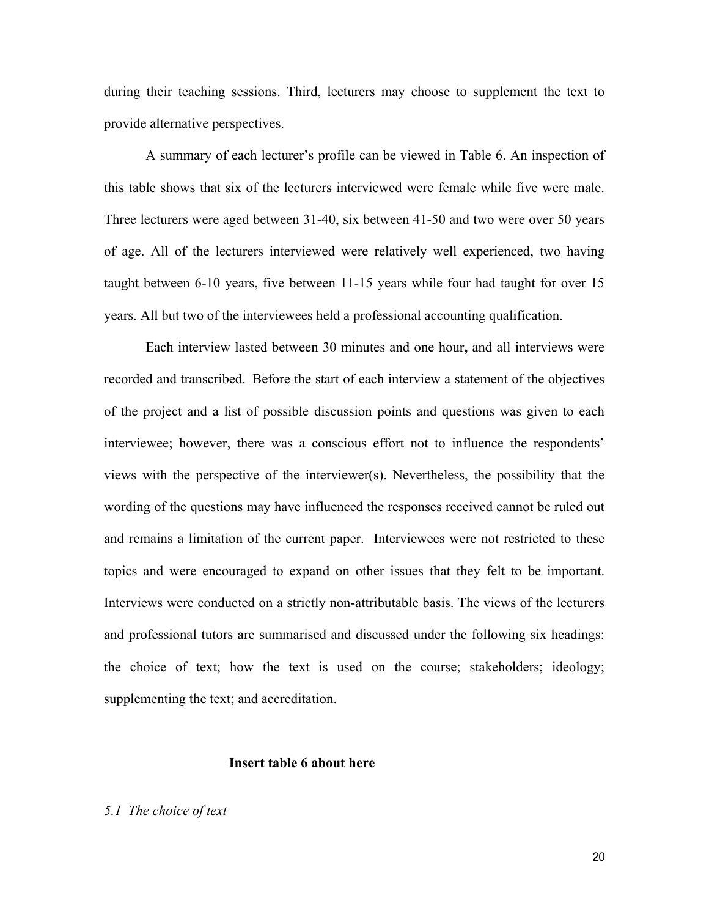during their teaching sessions. Third, lecturers may choose to supplement the text to provide alternative perspectives.

A summary of each lecturer's profile can be viewed in Table 6. An inspection of this table shows that six of the lecturers interviewed were female while five were male. Three lecturers were aged between 31-40, six between 41-50 and two were over 50 years of age. All of the lecturers interviewed were relatively well experienced, two having taught between 6-10 years, five between 11-15 years while four had taught for over 15 years. All but two of the interviewees held a professional accounting qualification.

Each interview lasted between 30 minutes and one hour**,** and all interviews were recorded and transcribed. Before the start of each interview a statement of the objectives of the project and a list of possible discussion points and questions was given to each interviewee; however, there was a conscious effort not to influence the respondents' views with the perspective of the interviewer(s). Nevertheless, the possibility that the wording of the questions may have influenced the responses received cannot be ruled out and remains a limitation of the current paper. Interviewees were not restricted to these topics and were encouraged to expand on other issues that they felt to be important. Interviews were conducted on a strictly non-attributable basis. The views of the lecturers and professional tutors are summarised and discussed under the following six headings: the choice of text; how the text is used on the course; stakeholders; ideology; supplementing the text; and accreditation.

## **Insert table 6 about here**

#### *5.1 The choice of text*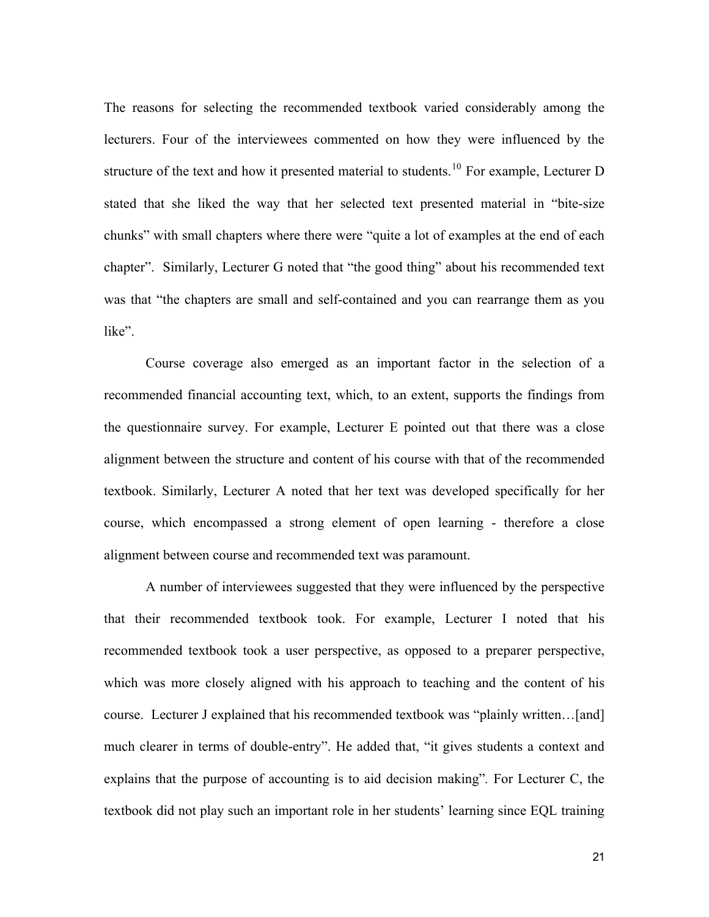The reasons for selecting the recommended textbook varied considerably among the lecturers. Four of the interviewees commented on how they were influenced by the structure of the text and how it presented material to students.<sup>[10](#page-50-0)</sup> For example, Lecturer D stated that she liked the way that her selected text presented material in "bite-size" chunks" with small chapters where there were "quite a lot of examples at the end of each chapter". Similarly, Lecturer G noted that "the good thing" about his recommended text was that "the chapters are small and self-contained and you can rearrange them as you like".

Course coverage also emerged as an important factor in the selection of a recommended financial accounting text, which, to an extent, supports the findings from the questionnaire survey. For example, Lecturer E pointed out that there was a close alignment between the structure and content of his course with that of the recommended textbook. Similarly, Lecturer A noted that her text was developed specifically for her course, which encompassed a strong element of open learning - therefore a close alignment between course and recommended text was paramount.

A number of interviewees suggested that they were influenced by the perspective that their recommended textbook took. For example, Lecturer I noted that his recommended textbook took a user perspective, as opposed to a preparer perspective, which was more closely aligned with his approach to teaching and the content of his course. Lecturer J explained that his recommended textbook was "plainly written...[and] much clearer in terms of double-entry". He added that, "it gives students a context and explains that the purpose of accounting is to aid decision makingî*.* For Lecturer C, the textbook did not play such an important role in her students' learning since EQL training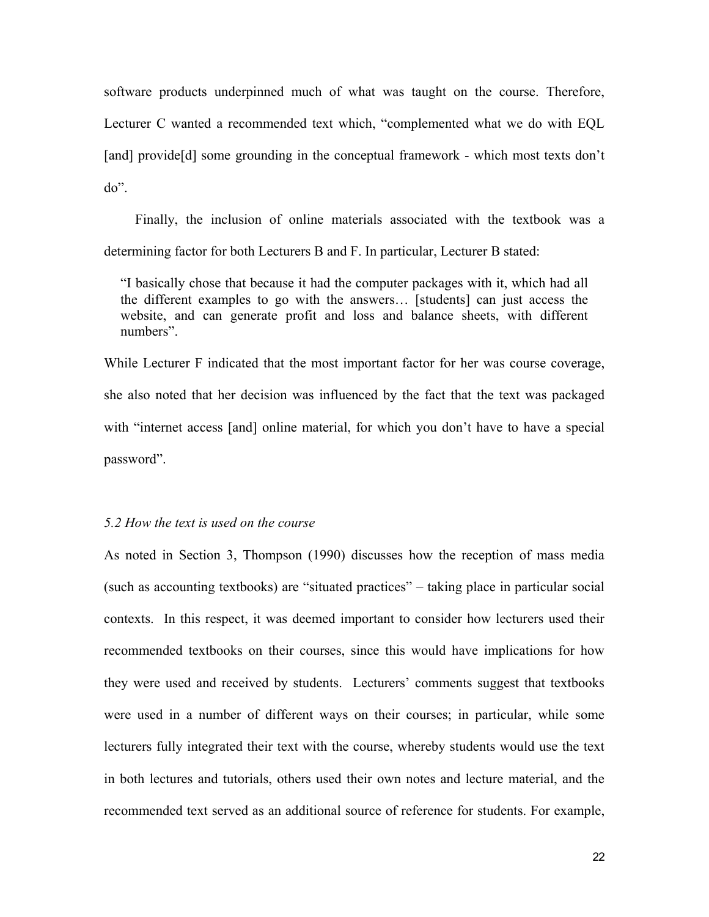software products underpinned much of what was taught on the course. Therefore, Lecturer C wanted a recommended text which, "complemented what we do with EQL [and] provide<sup>[d]</sup> some grounding in the conceptual framework - which most texts don't do".

Finally, the inclusion of online materials associated with the textbook was a determining factor for both Lecturers B and F. In particular, Lecturer B stated:

If basically chose that because it had the computer packages with it, which had all the different examples to go with the answers... [students] can just access the website, and can generate profit and loss and balance sheets, with different numbers".

While Lecturer F indicated that the most important factor for her was course coverage, she also noted that her decision was influenced by the fact that the text was packaged with "internet access [and] online material, for which you don't have to have a special password".

## *5.2 How the text is used on the course*

As noted in Section 3, Thompson (1990) discusses how the reception of mass media (such as accounting textbooks) are "situated practices"  $-$  taking place in particular social contexts. In this respect, it was deemed important to consider how lecturers used their recommended textbooks on their courses, since this would have implications for how they were used and received by students. Lecturers' comments suggest that textbooks were used in a number of different ways on their courses; in particular, while some lecturers fully integrated their text with the course, whereby students would use the text in both lectures and tutorials, others used their own notes and lecture material, and the recommended text served as an additional source of reference for students. For example,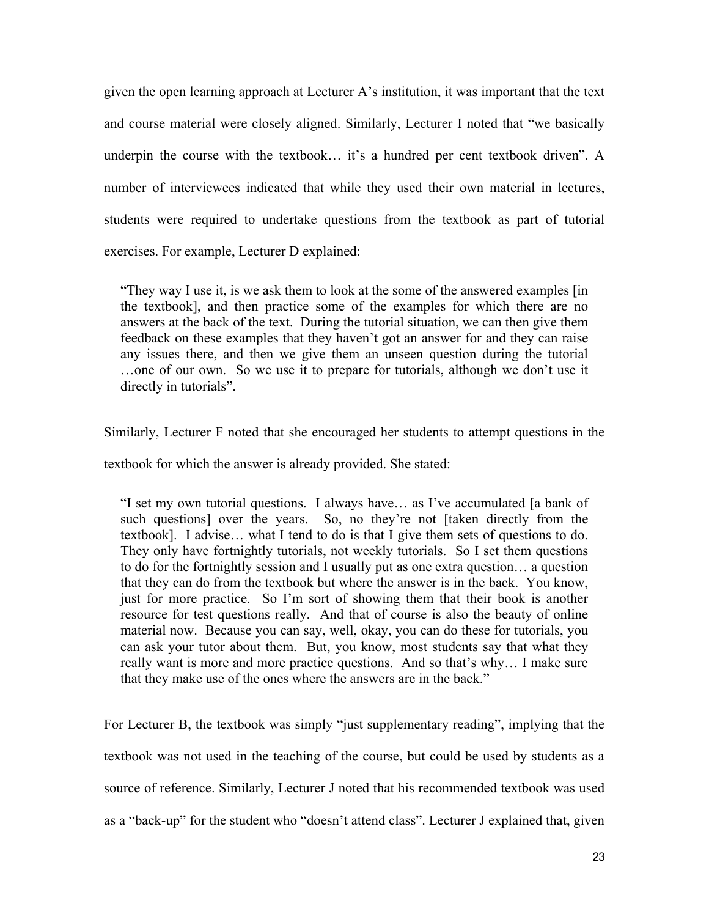given the open learning approach at Lecturer  $A$ 's institution, it was important that the text and course material were closely aligned. Similarly, Lecturer I noted that "we basically underpin the course with the textbook $\ldots$  it's a hundred per cent textbook driven". A number of interviewees indicated that while they used their own material in lectures, students were required to undertake questions from the textbook as part of tutorial exercises. For example, Lecturer D explained:

ìThey way I use it, is we ask them to look at the some of the answered examples [in the textbook], and then practice some of the examples for which there are no answers at the back of the text. During the tutorial situation, we can then give them feedback on these examples that they haven't got an answer for and they can raise any issues there, and then we give them an unseen question during the tutorial ...one of our own. So we use it to prepare for tutorials, although we don't use it directly in tutorials".

Similarly, Lecturer F noted that she encouraged her students to attempt questions in the

textbook for which the answer is already provided. She stated:

"I set my own tutorial questions. I always have... as I've accumulated [a bank of such questions] over the years. So, no they're not [taken directly from the textbook]. I advise $\ldots$  what I tend to do is that I give them sets of questions to do. They only have fortnightly tutorials, not weekly tutorials. So I set them questions to do for the fortnightly session and I usually put as one extra question... a question that they can do from the textbook but where the answer is in the back. You know, just for more practice. So I'm sort of showing them that their book is another resource for test questions really. And that of course is also the beauty of online material now. Because you can say, well, okay, you can do these for tutorials, you can ask your tutor about them. But, you know, most students say that what they really want is more and more practice questions. And so that's why... I make sure that they make use of the ones where the answers are in the back."

For Lecturer B, the textbook was simply "just supplementary reading", implying that the textbook was not used in the teaching of the course, but could be used by students as a source of reference. Similarly, Lecturer J noted that his recommended textbook was used as a "back-up" for the student who "doesn't attend class". Lecturer J explained that, given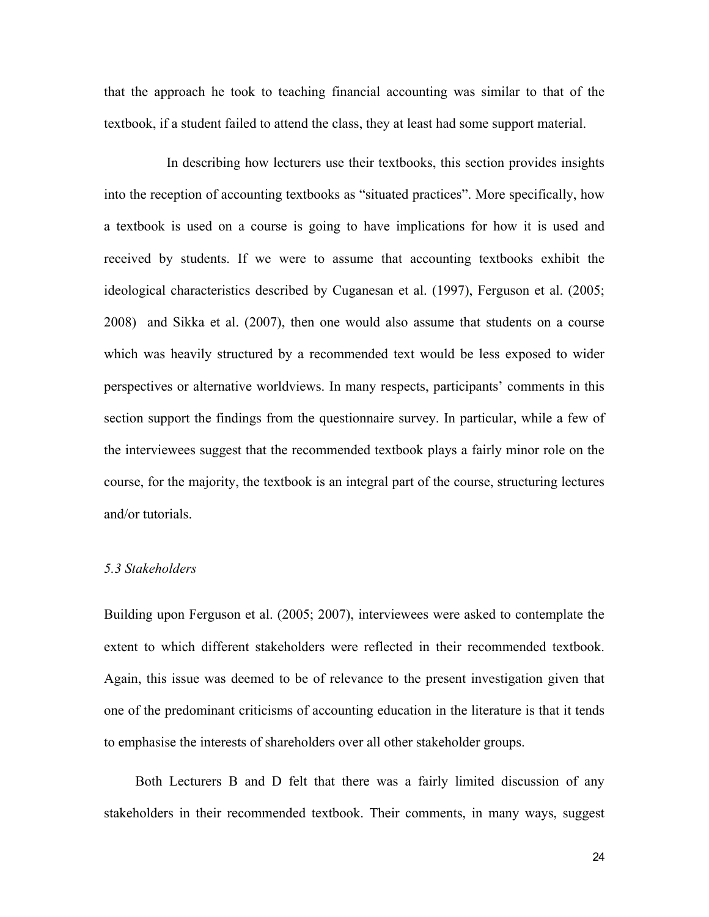that the approach he took to teaching financial accounting was similar to that of the textbook, if a student failed to attend the class, they at least had some support material.

 In describing how lecturers use their textbooks, this section provides insights into the reception of accounting textbooks as "situated practices". More specifically, how a textbook is used on a course is going to have implications for how it is used and received by students. If we were to assume that accounting textbooks exhibit the ideological characteristics described by Cuganesan et al. (1997), Ferguson et al. (2005; 2008) and Sikka et al. (2007), then one would also assume that students on a course which was heavily structured by a recommended text would be less exposed to wider perspectives or alternative worldviews. In many respects, participants' comments in this section support the findings from the questionnaire survey. In particular, while a few of the interviewees suggest that the recommended textbook plays a fairly minor role on the course, for the majority, the textbook is an integral part of the course, structuring lectures and/or tutorials.

## *5.3 Stakeholders*

Building upon Ferguson et al. (2005; 2007), interviewees were asked to contemplate the extent to which different stakeholders were reflected in their recommended textbook. Again, this issue was deemed to be of relevance to the present investigation given that one of the predominant criticisms of accounting education in the literature is that it tends to emphasise the interests of shareholders over all other stakeholder groups.

 Both Lecturers B and D felt that there was a fairly limited discussion of any stakeholders in their recommended textbook. Their comments, in many ways, suggest

 $24$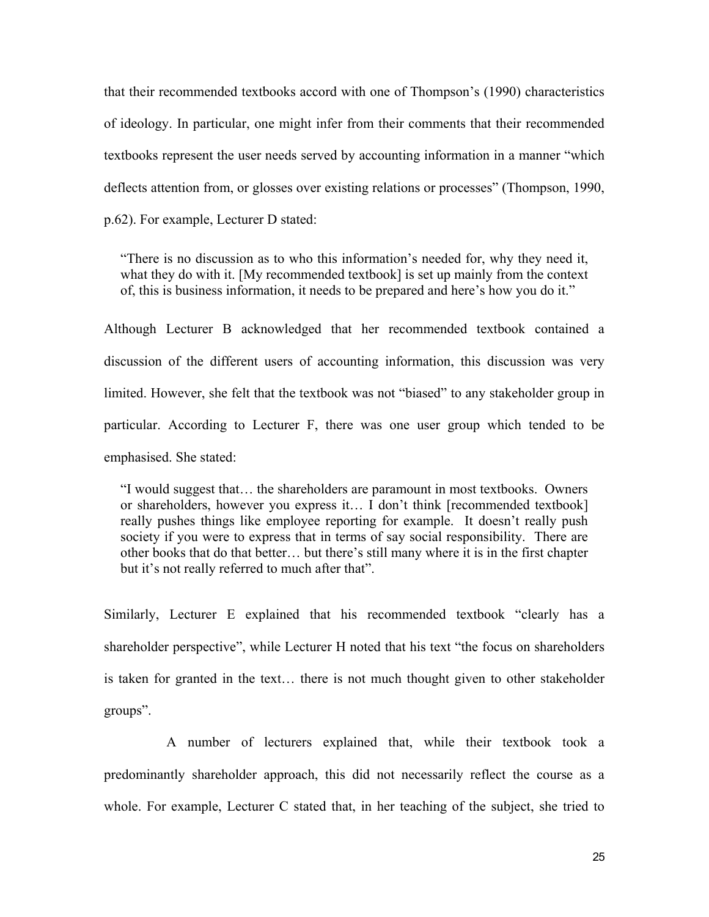that their recommended textbooks accord with one of Thompson's (1990) characteristics of ideology. In particular, one might infer from their comments that their recommended textbooks represent the user needs served by accounting information in a manner "which deflects attention from, or glosses over existing relations or processes" (Thompson, 1990, p.62). For example, Lecturer D stated:

There is no discussion as to who this information's needed for, why they need it, what they do with it. [My recommended textbook] is set up mainly from the context of, this is business information, it needs to be prepared and here's how you do it."

Although Lecturer B acknowledged that her recommended textbook contained a discussion of the different users of accounting information, this discussion was very limited. However, she felt that the textbook was not "biased" to any stakeholder group in particular. According to Lecturer F, there was one user group which tended to be emphasised. She stated:

I would suggest that... the shareholders are paramount in most textbooks. Owners or shareholders, however you express it... I don't think [recommended textbook] really pushes things like employee reporting for example. It doesn't really push society if you were to express that in terms of say social responsibility. There are other books that do that better... but there's still many where it is in the first chapter but it's not really referred to much after that".

Similarly, Lecturer E explained that his recommended textbook "clearly has a shareholder perspective", while Lecturer H noted that his text "the focus on shareholders is taken for granted in the text... there is not much thought given to other stakeholder groups".

 A number of lecturers explained that, while their textbook took a predominantly shareholder approach, this did not necessarily reflect the course as a whole. For example, Lecturer C stated that, in her teaching of the subject, she tried to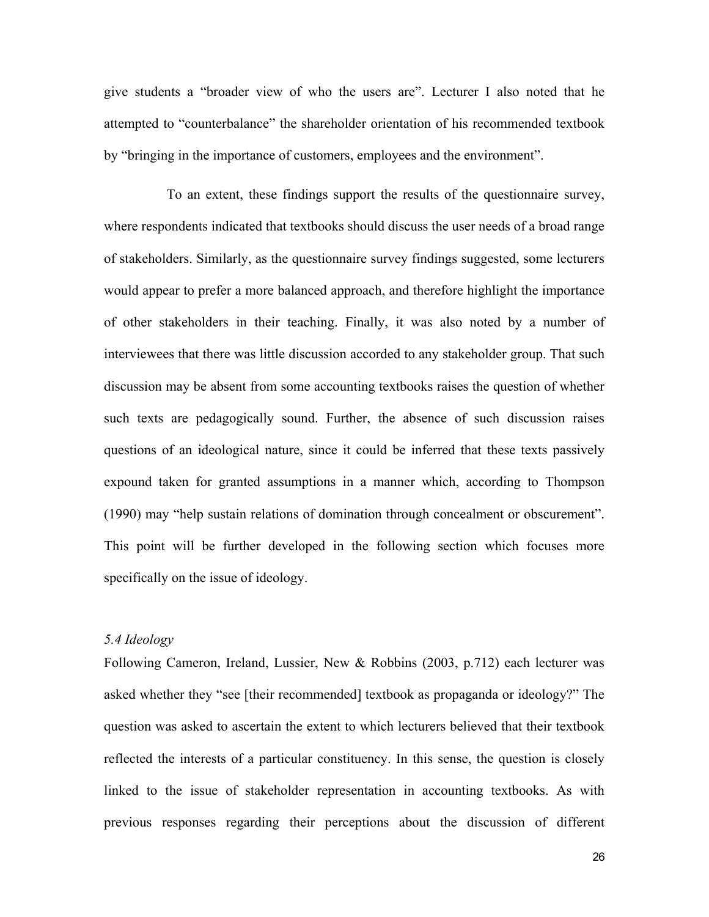give students a "broader view of who the users are". Lecturer I also noted that he attempted to "counterbalance" the shareholder orientation of his recommended textbook by "bringing in the importance of customers, employees and the environment".

 To an extent, these findings support the results of the questionnaire survey, where respondents indicated that textbooks should discuss the user needs of a broad range of stakeholders. Similarly, as the questionnaire survey findings suggested, some lecturers would appear to prefer a more balanced approach, and therefore highlight the importance of other stakeholders in their teaching. Finally, it was also noted by a number of interviewees that there was little discussion accorded to any stakeholder group. That such discussion may be absent from some accounting textbooks raises the question of whether such texts are pedagogically sound. Further, the absence of such discussion raises questions of an ideological nature, since it could be inferred that these texts passively expound taken for granted assumptions in a manner which, according to Thompson  $(1990)$  may "help sustain relations of domination through concealment or obscurement". This point will be further developed in the following section which focuses more specifically on the issue of ideology.

## *5.4 Ideology*

Following Cameron, Ireland, Lussier, New & Robbins (2003, p.712) each lecturer was asked whether they "see [their recommended] textbook as propaganda or ideology?" The question was asked to ascertain the extent to which lecturers believed that their textbook reflected the interests of a particular constituency. In this sense, the question is closely linked to the issue of stakeholder representation in accounting textbooks. As with previous responses regarding their perceptions about the discussion of different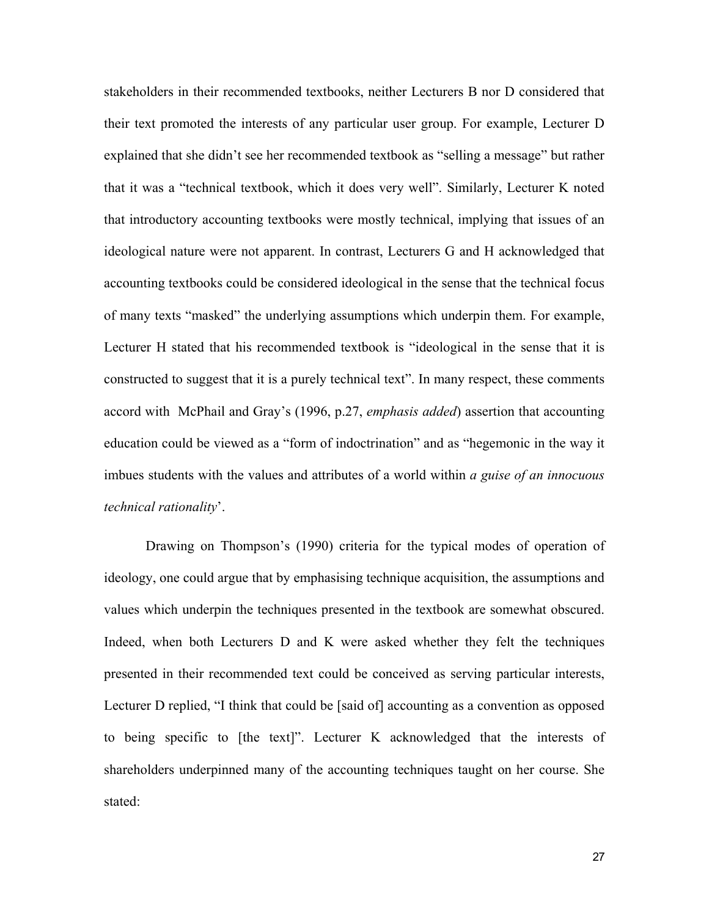stakeholders in their recommended textbooks, neither Lecturers B nor D considered that their text promoted the interests of any particular user group. For example, Lecturer D explained that she didn't see her recommended textbook as "selling a message" but rather that it was a "technical textbook, which it does very well". Similarly, Lecturer K noted that introductory accounting textbooks were mostly technical, implying that issues of an ideological nature were not apparent. In contrast, Lecturers G and H acknowledged that accounting textbooks could be considered ideological in the sense that the technical focus of many texts "masked" the underlying assumptions which underpin them. For example, Lecturer H stated that his recommended textbook is "ideological in the sense that it is constructed to suggest that it is a purely technical text". In many respect, these comments accord with McPhail and Gray's (1996, p.27, *emphasis added*) assertion that accounting education could be viewed as a "form of indoctrination" and as "hegemonic in the way it imbues students with the values and attributes of a world within *a guise of an innocuous technical rationality*<sup>'</sup>.

Drawing on Thompson's (1990) criteria for the typical modes of operation of ideology, one could argue that by emphasising technique acquisition, the assumptions and values which underpin the techniques presented in the textbook are somewhat obscured. Indeed, when both Lecturers D and K were asked whether they felt the techniques presented in their recommended text could be conceived as serving particular interests, Lecturer D replied, "I think that could be [said of] accounting as a convention as opposed to being specific to [the text]î. Lecturer K acknowledged that the interests of shareholders underpinned many of the accounting techniques taught on her course. She stated: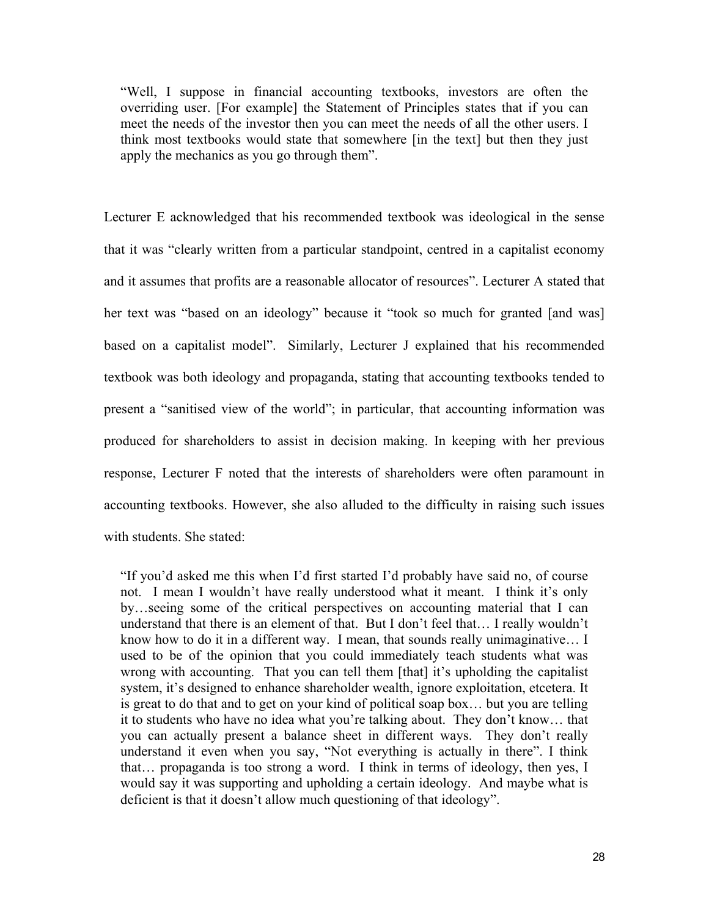ìWell, I suppose in financial accounting textbooks, investors are often the overriding user. [For example] the Statement of Principles states that if you can meet the needs of the investor then you can meet the needs of all the other users. I think most textbooks would state that somewhere [in the text] but then they just apply the mechanics as you go through them<sup>".</sup>

Lecturer E acknowledged that his recommended textbook was ideological in the sense that it was "clearly written from a particular standpoint, centred in a capitalist economy and it assumes that profits are a reasonable allocator of resources". Lecturer A stated that her text was "based on an ideology" because it "took so much for granted [and was] based on a capitalist model". Similarly, Lecturer J explained that his recommended textbook was both ideology and propaganda, stating that accounting textbooks tended to present a "sanitised view of the world"; in particular, that accounting information was produced for shareholders to assist in decision making. In keeping with her previous response, Lecturer F noted that the interests of shareholders were often paramount in accounting textbooks. However, she also alluded to the difficulty in raising such issues with students. She stated:

"If you'd asked me this when I'd first started I'd probably have said no, of course not. I mean I wouldn't have really understood what it meant. I think it's only by...seeing some of the critical perspectives on accounting material that I can understand that there is an element of that. But I don't feel that... I really wouldn't know how to do it in a different way. I mean, that sounds really unimaginative $\ldots$  I used to be of the opinion that you could immediately teach students what was wrong with accounting. That you can tell them [that] it's upholding the capitalist system, it's designed to enhance shareholder wealth, ignore exploitation, etcetera. It is great to do that and to get on your kind of political soap box... but you are telling it to students who have no idea what you're talking about. They don't know... that you can actually present a balance sheet in different ways. They don't really understand it even when you say, "Not everything is actually in there". I think that $\ldots$  propaganda is too strong a word. I think in terms of ideology, then yes, I would say it was supporting and upholding a certain ideology. And maybe what is deficient is that it doesn't allow much questioning of that ideology".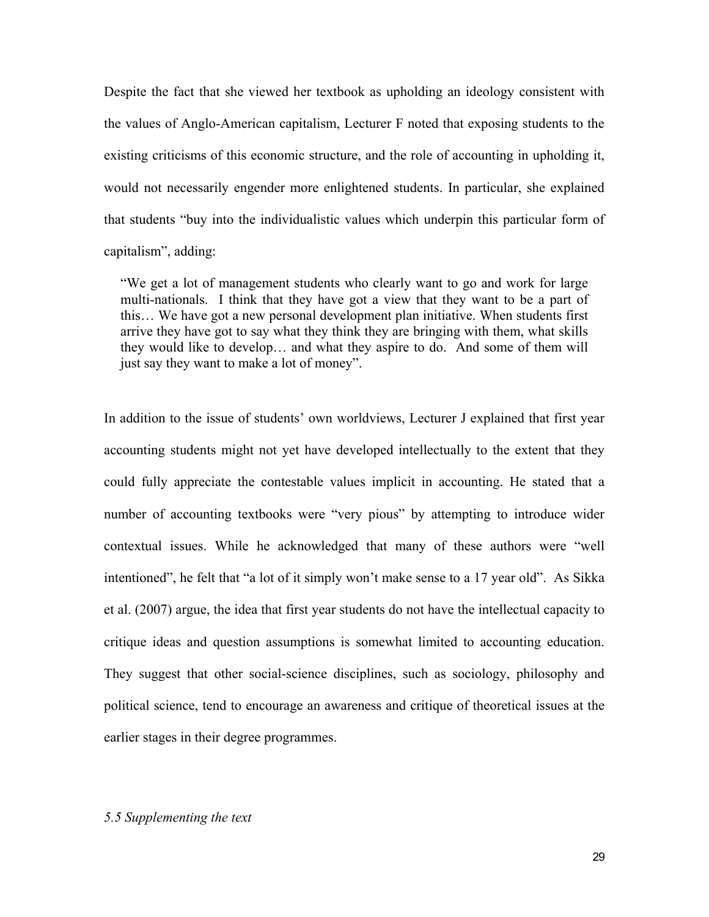Despite the fact that she viewed her textbook as upholding an ideology consistent with the values of Anglo-American capitalism, Lecturer F noted that exposing students to the existing criticisms of this economic structure, and the role of accounting in upholding it, would not necessarily engender more enlightened students. In particular, she explained that students "buy into the individualistic values which underpin this particular form of capitalism", adding:

ìWe get a lot of management students who clearly want to go and work for large multi-nationals. I think that they have got a view that they want to be a part of this... We have got a new personal development plan initiative. When students first arrive they have got to say what they think they are bringing with them, what skills they would like to develop... and what they aspire to do. And some of them will just say they want to make a lot of money".

In addition to the issue of students' own worldviews, Lecturer J explained that first year accounting students might not yet have developed intellectually to the extent that they could fully appreciate the contestable values implicit in accounting. He stated that a number of accounting textbooks were "very pious" by attempting to introduce wider contextual issues. While he acknowledged that many of these authors were "well intentioned", he felt that "a lot of it simply won't make sense to a 17 year old". As Sikka et al. (2007) argue, the idea that first year students do not have the intellectual capacity to critique ideas and question assumptions is somewhat limited to accounting education. They suggest that other social-science disciplines, such as sociology, philosophy and political science, tend to encourage an awareness and critique of theoretical issues at the earlier stages in their degree programmes.

### *5.5 Supplementing the text*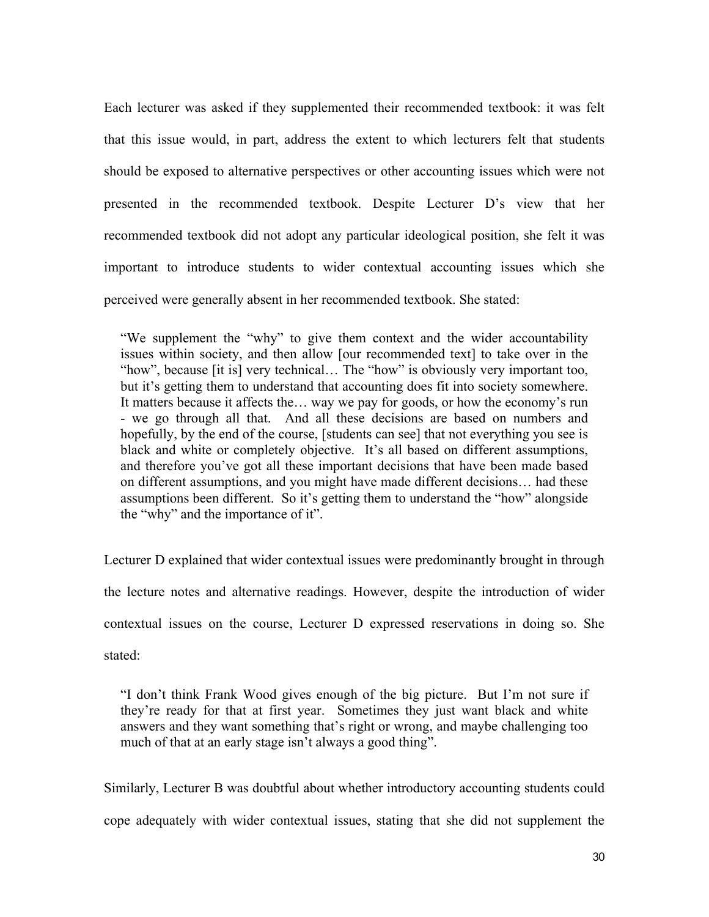Each lecturer was asked if they supplemented their recommended textbook: it was felt that this issue would, in part, address the extent to which lecturers felt that students should be exposed to alternative perspectives or other accounting issues which were not presented in the recommended textbook. Despite Lecturer D's view that her recommended textbook did not adopt any particular ideological position, she felt it was important to introduce students to wider contextual accounting issues which she perceived were generally absent in her recommended textbook. She stated:

"We supplement the "why" to give them context and the wider accountability issues within society, and then allow [our recommended text] to take over in the "how", because [it is] very technical... The "how" is obviously very important too, but it's getting them to understand that accounting does fit into society somewhere. It matters because it affects the... way we pay for goods, or how the economy's run - we go through all that. And all these decisions are based on numbers and hopefully, by the end of the course, [students can see] that not everything you see is black and white or completely objective. It's all based on different assumptions, and therefore you've got all these important decisions that have been made based on different assumptions, and you might have made different decisions... had these assumptions been different. So it's getting them to understand the "how" alongside the "why" and the importance of it".

Lecturer D explained that wider contextual issues were predominantly brought in through the lecture notes and alternative readings. However, despite the introduction of wider contextual issues on the course, Lecturer D expressed reservations in doing so. She stated:

"I don't think Frank Wood gives enough of the big picture. But I'm not sure if they're ready for that at first year. Sometimes they just want black and white answers and they want something that's right or wrong, and maybe challenging too much of that at an early stage isn't always a good thing".

Similarly, Lecturer B was doubtful about whether introductory accounting students could cope adequately with wider contextual issues, stating that she did not supplement the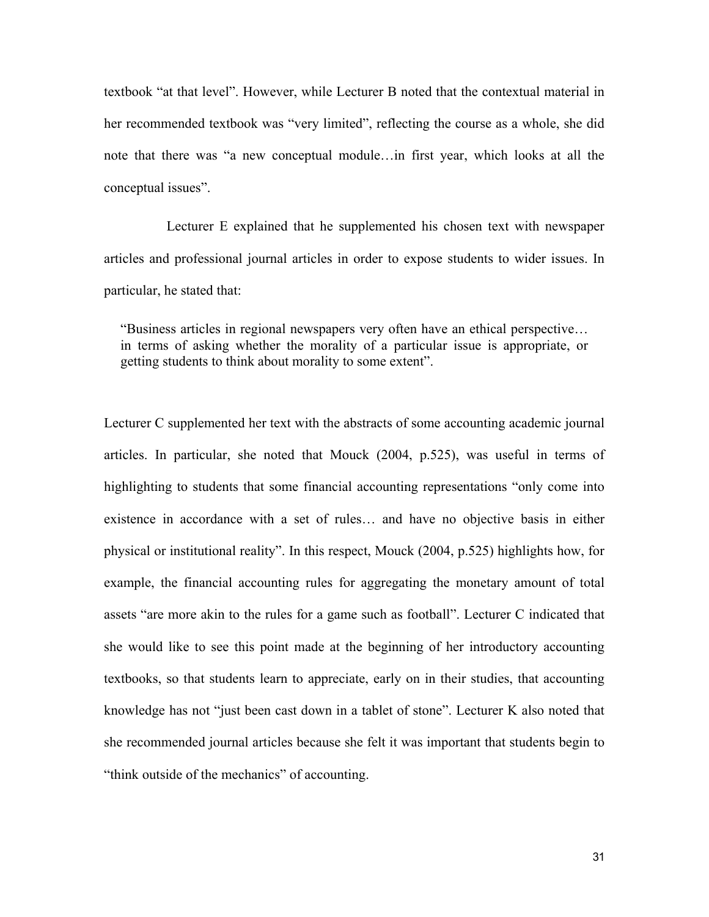textbook "at that level". However, while Lecturer B noted that the contextual material in her recommended textbook was "very limited", reflecting the course as a whole, she did note that there was "a new conceptual module...in first year, which looks at all the conceptual issues".

 Lecturer E explained that he supplemented his chosen text with newspaper articles and professional journal articles in order to expose students to wider issues. In particular, he stated that:

*<sup>\*</sup>Business articles in regional newspapers very often have an ethical perspective...* in terms of asking whether the morality of a particular issue is appropriate, or getting students to think about morality to some extent".

Lecturer C supplemented her text with the abstracts of some accounting academic journal articles. In particular, she noted that Mouck (2004, p.525), was useful in terms of highlighting to students that some financial accounting representations "only come into existence in accordance with a set of rules... and have no objective basis in either physical or institutional realityî. In this respect, Mouck (2004, p.525) highlights how, for example, the financial accounting rules for aggregating the monetary amount of total assets "are more akin to the rules for a game such as football". Lecturer C indicated that she would like to see this point made at the beginning of her introductory accounting textbooks, so that students learn to appreciate, early on in their studies, that accounting knowledge has not "just been cast down in a tablet of stone". Lecturer K also noted that she recommended journal articles because she felt it was important that students begin to "think outside of the mechanics" of accounting.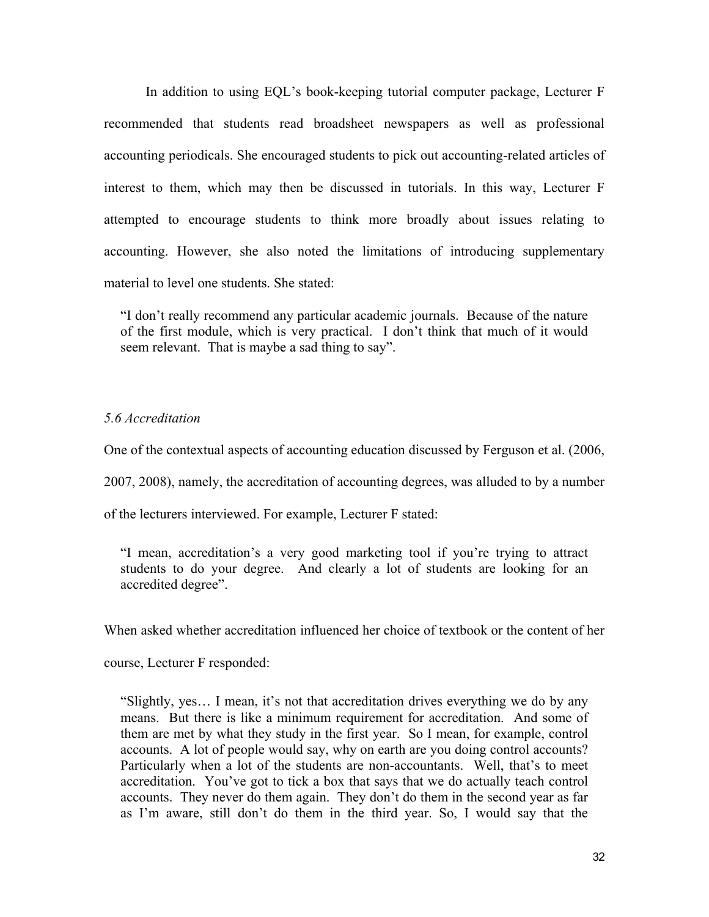In addition to using EQL's book-keeping tutorial computer package, Lecturer F recommended that students read broadsheet newspapers as well as professional accounting periodicals. She encouraged students to pick out accounting-related articles of interest to them, which may then be discussed in tutorials. In this way, Lecturer F attempted to encourage students to think more broadly about issues relating to accounting. However, she also noted the limitations of introducing supplementary material to level one students. She stated:

ìI donít really recommend any particular academic journals. Because of the nature of the first module, which is very practical. I don't think that much of it would seem relevant. That is maybe a sad thing to say".

## *5.6 Accreditation*

One of the contextual aspects of accounting education discussed by Ferguson et al. (2006,

2007, 2008), namely, the accreditation of accounting degrees, was alluded to by a number

of the lecturers interviewed. For example, Lecturer F stated:

ìI mean, accreditationís a very good marketing tool if youíre trying to attract students to do your degree. And clearly a lot of students are looking for an accredited degree".

When asked whether accreditation influenced her choice of textbook or the content of her

course, Lecturer F responded:

"Slightly, yes... I mean, it's not that accreditation drives everything we do by any means. But there is like a minimum requirement for accreditation. And some of them are met by what they study in the first year. So I mean, for example, control accounts. A lot of people would say, why on earth are you doing control accounts? Particularly when a lot of the students are non-accountants. Well, that's to meet accreditation. You've got to tick a box that says that we do actually teach control accounts. They never do them again. They don't do them in the second year as far as Iím aware, still donít do them in the third year. So, I would say that the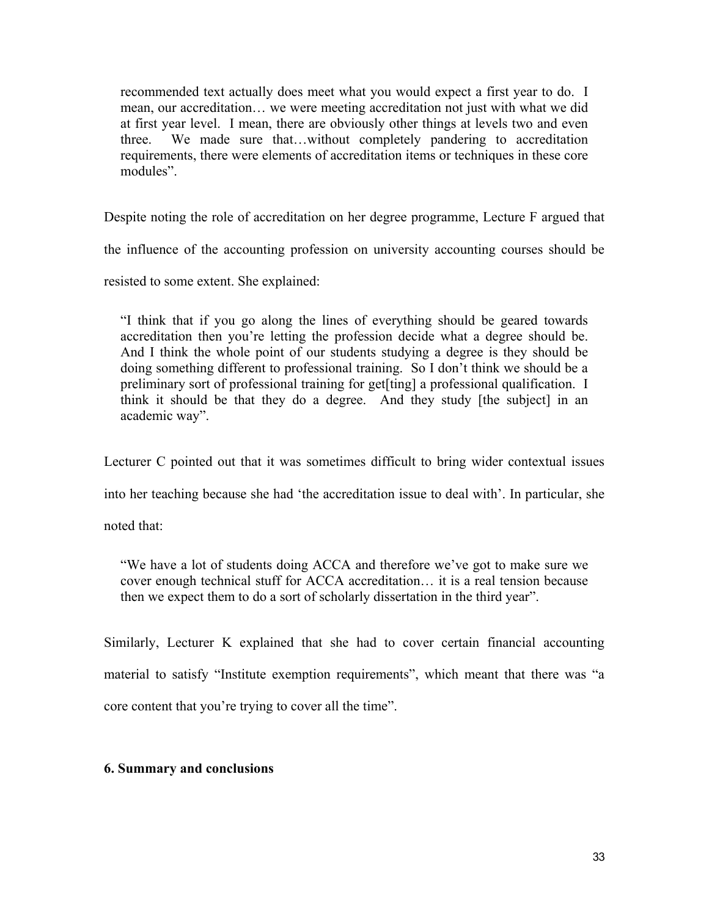recommended text actually does meet what you would expect a first year to do. I mean, our accreditation... we were meeting accreditation not just with what we did at first year level. I mean, there are obviously other things at levels two and even three. We made sure that...without completely pandering to accreditation requirements, there were elements of accreditation items or techniques in these core modules".

Despite noting the role of accreditation on her degree programme, Lecture F argued that

the influence of the accounting profession on university accounting courses should be

resisted to some extent. She explained:

ìI think that if you go along the lines of everything should be geared towards accreditation then you're letting the profession decide what a degree should be. And I think the whole point of our students studying a degree is they should be doing something different to professional training. So I don't think we should be a preliminary sort of professional training for get[ting] a professional qualification. I think it should be that they do a degree. And they study [the subject] in an academic way".

Lecturer C pointed out that it was sometimes difficult to bring wider contextual issues

into her teaching because she had 'the accreditation issue to deal with'. In particular, she

noted that:

"We have a lot of students doing ACCA and therefore we've got to make sure we cover enough technical stuff for ACCA accreditation $\ldots$  it is a real tension because then we expect them to do a sort of scholarly dissertation in the third year".

Similarly, Lecturer K explained that she had to cover certain financial accounting material to satisfy "Institute exemption requirements", which meant that there was "a core content that you're trying to cover all the time".

#### **6. Summary and conclusions**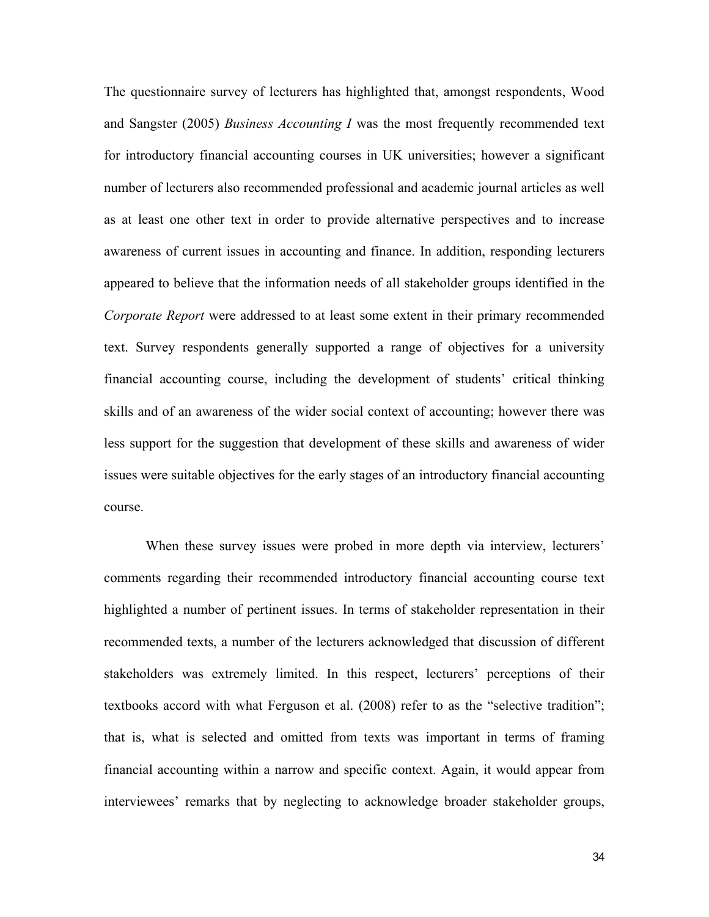The questionnaire survey of lecturers has highlighted that, amongst respondents, Wood and Sangster (2005) *Business Accounting I* was the most frequently recommended text for introductory financial accounting courses in UK universities; however a significant number of lecturers also recommended professional and academic journal articles as well as at least one other text in order to provide alternative perspectives and to increase awareness of current issues in accounting and finance. In addition, responding lecturers appeared to believe that the information needs of all stakeholder groups identified in the *Corporate Report* were addressed to at least some extent in their primary recommended text. Survey respondents generally supported a range of objectives for a university financial accounting course, including the development of students' critical thinking skills and of an awareness of the wider social context of accounting; however there was less support for the suggestion that development of these skills and awareness of wider issues were suitable objectives for the early stages of an introductory financial accounting course.

When these survey issues were probed in more depth via interview, lecturers' comments regarding their recommended introductory financial accounting course text highlighted a number of pertinent issues. In terms of stakeholder representation in their recommended texts, a number of the lecturers acknowledged that discussion of different stakeholders was extremely limited. In this respect, lecturers' perceptions of their textbooks accord with what Ferguson et al. (2008) refer to as the "selective tradition"; that is, what is selected and omitted from texts was important in terms of framing financial accounting within a narrow and specific context. Again, it would appear from interviewees' remarks that by neglecting to acknowledge broader stakeholder groups,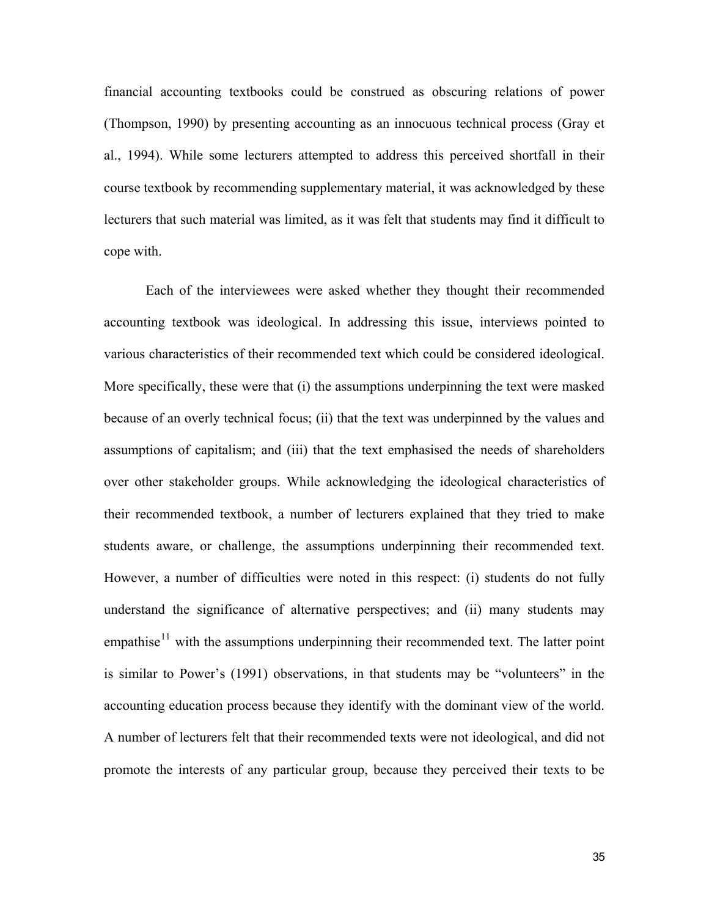financial accounting textbooks could be construed as obscuring relations of power (Thompson, 1990) by presenting accounting as an innocuous technical process (Gray et al., 1994). While some lecturers attempted to address this perceived shortfall in their course textbook by recommending supplementary material, it was acknowledged by these lecturers that such material was limited, as it was felt that students may find it difficult to cope with.

 Each of the interviewees were asked whether they thought their recommended accounting textbook was ideological. In addressing this issue, interviews pointed to various characteristics of their recommended text which could be considered ideological. More specifically, these were that (i) the assumptions underpinning the text were masked because of an overly technical focus; (ii) that the text was underpinned by the values and assumptions of capitalism; and (iii) that the text emphasised the needs of shareholders over other stakeholder groups. While acknowledging the ideological characteristics of their recommended textbook, a number of lecturers explained that they tried to make students aware, or challenge, the assumptions underpinning their recommended text. However, a number of difficulties were noted in this respect: (i) students do not fully understand the significance of alternative perspectives; and (ii) many students may empathise $11$  with the assumptions underpinning their recommended text. The latter point is similar to Power's (1991) observations, in that students may be "volunteers" in the accounting education process because they identify with the dominant view of the world. A number of lecturers felt that their recommended texts were not ideological, and did not promote the interests of any particular group, because they perceived their texts to be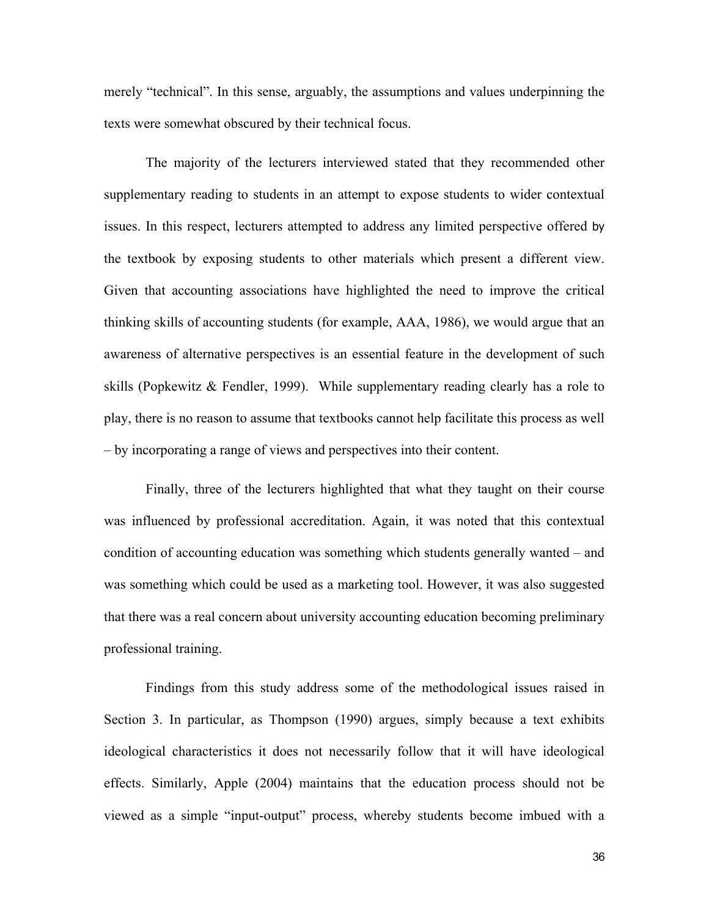merely "technical". In this sense, arguably, the assumptions and values underpinning the texts were somewhat obscured by their technical focus.

 The majority of the lecturers interviewed stated that they recommended other supplementary reading to students in an attempt to expose students to wider contextual issues. In this respect, lecturers attempted to address any limited perspective offered by the textbook by exposing students to other materials which present a different view. Given that accounting associations have highlighted the need to improve the critical thinking skills of accounting students (for example, AAA, 1986), we would argue that an awareness of alternative perspectives is an essential feature in the development of such skills (Popkewitz & Fendler, 1999). While supplementary reading clearly has a role to play, there is no reason to assume that textbooks cannot help facilitate this process as well - by incorporating a range of views and perspectives into their content.

 Finally, three of the lecturers highlighted that what they taught on their course was influenced by professional accreditation. Again, it was noted that this contextual condition of accounting education was something which students generally wanted  $-$  and was something which could be used as a marketing tool. However, it was also suggested that there was a real concern about university accounting education becoming preliminary professional training.

Findings from this study address some of the methodological issues raised in Section 3. In particular, as Thompson (1990) argues, simply because a text exhibits ideological characteristics it does not necessarily follow that it will have ideological effects. Similarly, Apple (2004) maintains that the education process should not be viewed as a simple "input-output" process, whereby students become imbued with a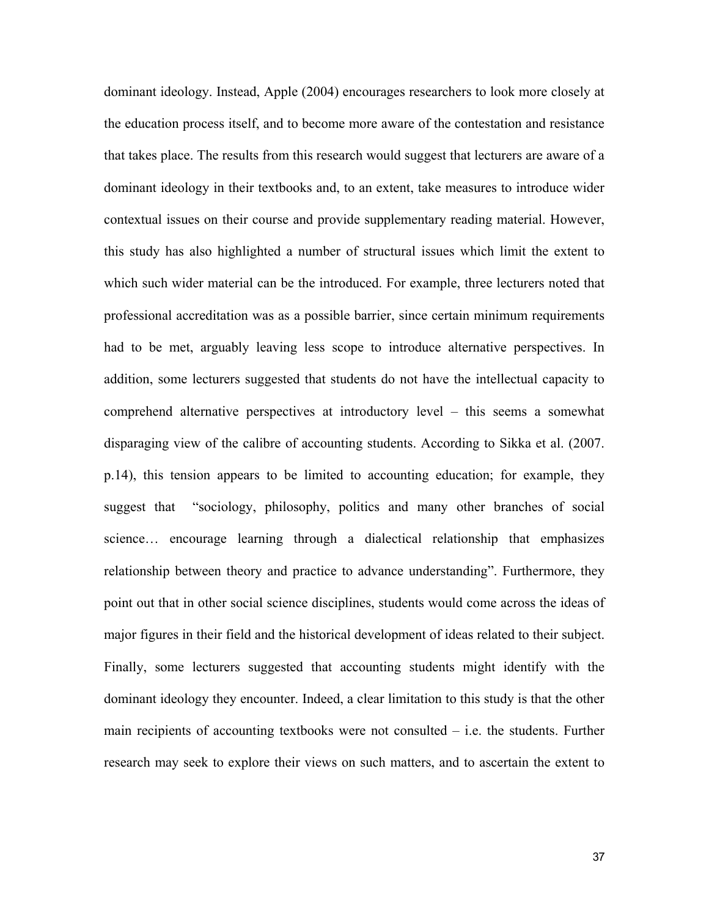dominant ideology. Instead, Apple (2004) encourages researchers to look more closely at the education process itself, and to become more aware of the contestation and resistance that takes place. The results from this research would suggest that lecturers are aware of a dominant ideology in their textbooks and, to an extent, take measures to introduce wider contextual issues on their course and provide supplementary reading material. However, this study has also highlighted a number of structural issues which limit the extent to which such wider material can be the introduced. For example, three lecturers noted that professional accreditation was as a possible barrier, since certain minimum requirements had to be met, arguably leaving less scope to introduce alternative perspectives. In addition, some lecturers suggested that students do not have the intellectual capacity to comprehend alternative perspectives at introductory level  $-$  this seems a somewhat disparaging view of the calibre of accounting students. According to Sikka et al. (2007. p.14), this tension appears to be limited to accounting education; for example, they suggest that "sociology, philosophy, politics and many other branches of social science... encourage learning through a dialectical relationship that emphasizes relationship between theory and practice to advance understanding". Furthermore, they point out that in other social science disciplines, students would come across the ideas of major figures in their field and the historical development of ideas related to their subject. Finally, some lecturers suggested that accounting students might identify with the dominant ideology they encounter. Indeed, a clear limitation to this study is that the other main recipients of accounting textbooks were not consulted  $-$  i.e. the students. Further research may seek to explore their views on such matters, and to ascertain the extent to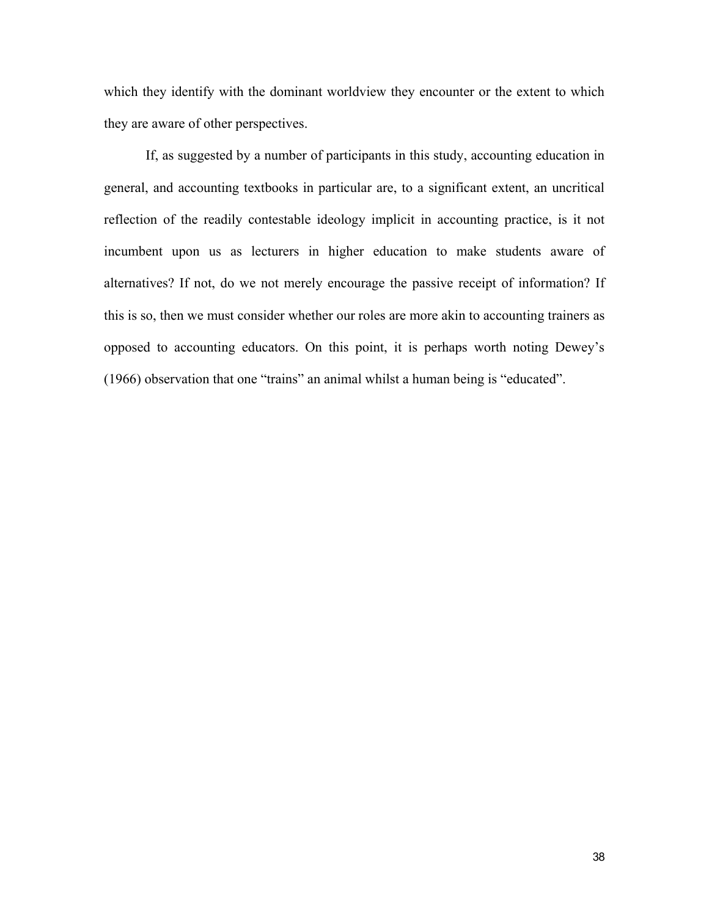which they identify with the dominant worldview they encounter or the extent to which they are aware of other perspectives.

 If, as suggested by a number of participants in this study, accounting education in general, and accounting textbooks in particular are, to a significant extent, an uncritical reflection of the readily contestable ideology implicit in accounting practice, is it not incumbent upon us as lecturers in higher education to make students aware of alternatives? If not, do we not merely encourage the passive receipt of information? If this is so, then we must consider whether our roles are more akin to accounting trainers as opposed to accounting educators. On this point, it is perhaps worth noting Dewey's  $(1966)$  observation that one "trains" an animal whilst a human being is "educated".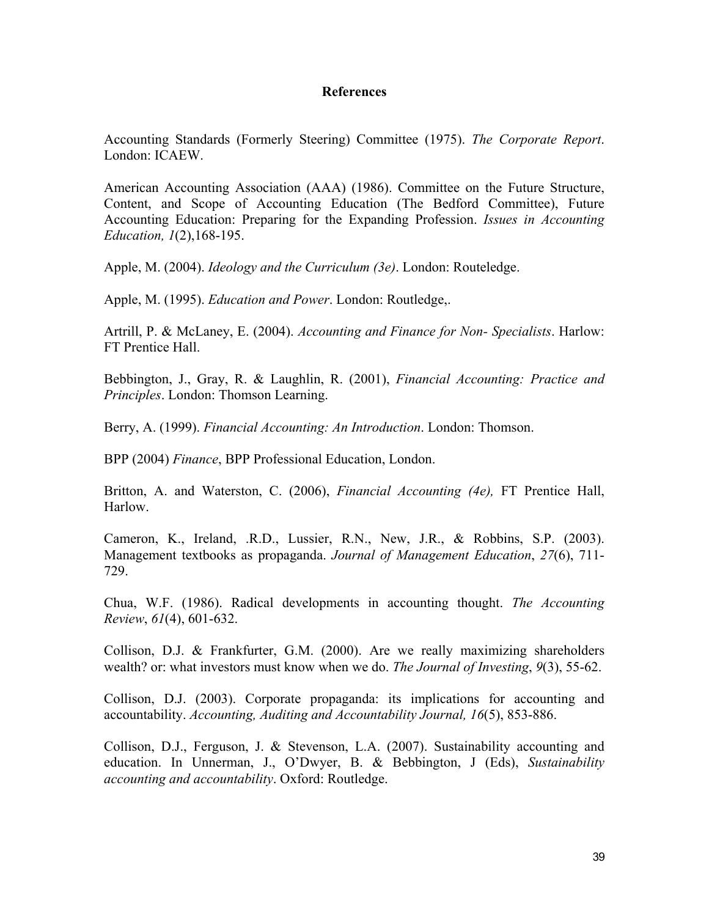#### **References**

Accounting Standards (Formerly Steering) Committee (1975). *The Corporate Report*. London: ICAEW.

American Accounting Association (AAA) (1986). Committee on the Future Structure, Content, and Scope of Accounting Education (The Bedford Committee), Future Accounting Education: Preparing for the Expanding Profession. *Issues in Accounting Education, 1*(2),168-195.

Apple, M. (2004). *Ideology and the Curriculum (3e)*. London: Routeledge.

Apple, M. (1995). *Education and Power*. London: Routledge,.

Artrill, P. & McLaney, E. (2004). *Accounting and Finance for Non- Specialists*. Harlow: FT Prentice Hall.

Bebbington, J., Gray, R. & Laughlin, R. (2001), *Financial Accounting: Practice and Principles*. London: Thomson Learning.

Berry, A. (1999). *Financial Accounting: An Introduction*. London: Thomson.

BPP (2004) *Finance*, BPP Professional Education, London.

Britton, A. and Waterston, C. (2006), *Financial Accounting (4e),* FT Prentice Hall, Harlow.

Cameron, K., Ireland, .R.D., Lussier, R.N., New, J.R., & Robbins, S.P. (2003). Management textbooks as propaganda. *Journal of Management Education*, *27*(6), 711- 729.

Chua, W.F. (1986). Radical developments in accounting thought. *The Accounting Review*, *61*(4), 601-632.

Collison, D.J. & Frankfurter, G.M. (2000). Are we really maximizing shareholders wealth? or: what investors must know when we do. *The Journal of Investing*, *9*(3), 55-62.

Collison, D.J. (2003). Corporate propaganda: its implications for accounting and accountability. *Accounting, Auditing and Accountability Journal, 16*(5), 853-886.

Collison, D.J., Ferguson, J. & Stevenson, L.A. (2007). Sustainability accounting and education. In Unnerman, J., OíDwyer, B. & Bebbington, J (Eds), *Sustainability accounting and accountability*. Oxford: Routledge.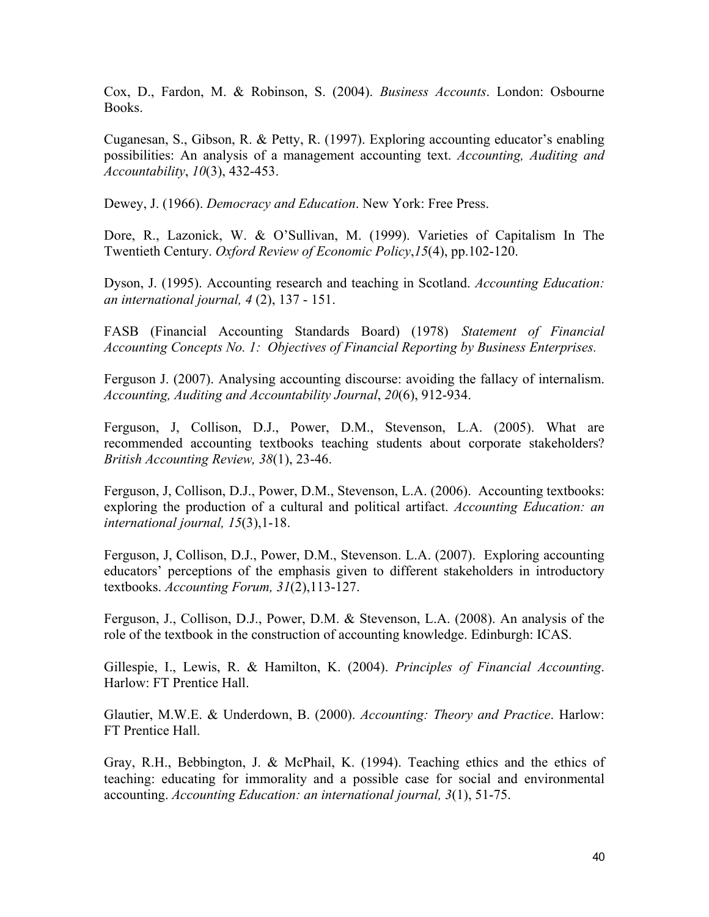Cox, D., Fardon, M. & Robinson, S. (2004). *Business Accounts*. London: Osbourne Books.

Cuganesan, S., Gibson, R. & Petty, R. (1997). Exploring accounting educator's enabling possibilities: An analysis of a management accounting text. *Accounting, Auditing and Accountability*, *10*(3), 432-453.

Dewey, J. (1966). *Democracy and Education*. New York: Free Press.

Dore, R., Lazonick, W. & O'Sullivan, M. (1999). Varieties of Capitalism In The Twentieth Century. *Oxford Review of Economic Policy*,*15*(4), pp.102-120.

Dyson, J. (1995). Accounting research and teaching in Scotland. *Accounting Education: an international journal, 4* (2), 137 - 151.

FASB (Financial Accounting Standards Board) (1978) *Statement of Financial Accounting Concepts No. 1: Objectives of Financial Reporting by Business Enterprises.* 

Ferguson J. (2007). Analysing accounting discourse: avoiding the fallacy of internalism. *Accounting, Auditing and Accountability Journal*, *20*(6), 912-934.

Ferguson, J, Collison, D.J., Power, D.M., Stevenson, L.A. (2005). What are recommended accounting textbooks teaching students about corporate stakeholders? *British Accounting Review, 38*(1), 23-46.

Ferguson, J, Collison, D.J., Power, D.M., Stevenson, L.A. (2006). Accounting textbooks: exploring the production of a cultural and political artifact. *Accounting Education: an international journal, 15*(3),1-18.

Ferguson, J, Collison, D.J., Power, D.M., Stevenson. L.A. (2007). Exploring accounting educators' perceptions of the emphasis given to different stakeholders in introductory textbooks. *Accounting Forum, 31*(2),113-127.

Ferguson, J., Collison, D.J., Power, D.M. & Stevenson, L.A. (2008). An analysis of the role of the textbook in the construction of accounting knowledge. Edinburgh: ICAS.

Gillespie, I., Lewis, R. & Hamilton, K. (2004). *Principles of Financial Accounting*. Harlow: FT Prentice Hall.

Glautier, M.W.E. & Underdown, B. (2000). *Accounting: Theory and Practice*. Harlow: FT Prentice Hall.

Gray, R.H., Bebbington, J. & McPhail, K. (1994). Teaching ethics and the ethics of teaching: educating for immorality and a possible case for social and environmental accounting. *Accounting Education: an international journal, 3*(1), 51-75.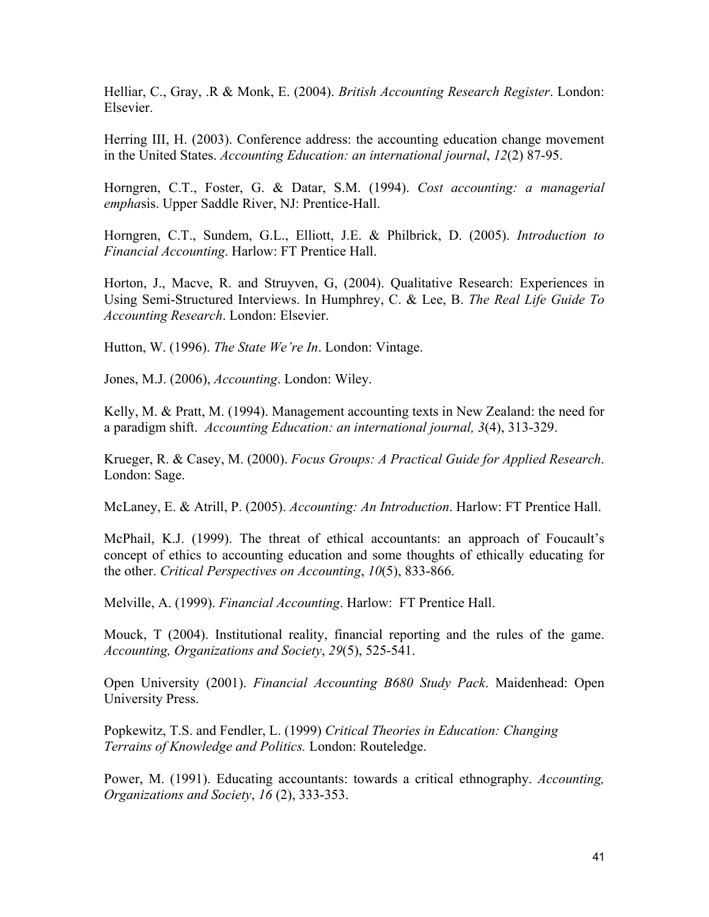Helliar, C., Gray, .R & Monk, E. (2004). *British Accounting Research Register*. London: Elsevier.

Herring III, H. (2003). Conference address: the accounting education change movement in the United States. *Accounting Education: an international journal*, *12*(2) 87-95.

Horngren, C.T., Foster, G. & Datar, S.M. (1994). *Cost accounting: a managerial empha*sis. Upper Saddle River, NJ: Prentice-Hall.

Horngren, C.T., Sundem, G.L., Elliott, J.E. & Philbrick, D. (2005). *Introduction to Financial Accounting*. Harlow: FT Prentice Hall.

Horton, J., Macve, R. and Struyven, G, (2004). Qualitative Research: Experiences in Using Semi-Structured Interviews. In Humphrey, C. & Lee, B. *The Real Life Guide To Accounting Research*. London: Elsevier.

Hutton, W. (1996). *The State We're In*. London: Vintage.

Jones, M.J. (2006), *Accounting*. London: Wiley.

Kelly, M. & Pratt, M. (1994). Management accounting texts in New Zealand: the need for a paradigm shift. *Accounting Education: an international journal, 3*(4), 313-329.

Krueger, R. & Casey, M. (2000). *Focus Groups: A Practical Guide for Applied Research*. London: Sage.

McLaney, E. & Atrill, P. (2005). *Accounting: An Introduction*. Harlow: FT Prentice Hall.

McPhail, K.J. (1999). The threat of ethical accountants: an approach of Foucault's concept of ethics to accounting education and some thoughts of ethically educating for the other. *Critical Perspectives on Accounting*, *10*(5), 833-866.

Melville, A. (1999). *Financial Accounting*. Harlow: FT Prentice Hall.

Mouck, T (2004). Institutional reality, financial reporting and the rules of the game. *Accounting, Organizations and Society*, *29*(5), 525-541.

Open University (2001). *Financial Accounting B680 Study Pack*. Maidenhead: Open University Press.

Popkewitz, T.S. and Fendler, L. (1999) *Critical Theories in Education: Changing Terrains of Knowledge and Politics.* London: Routeledge.

Power, M. (1991). Educating accountants: towards a critical ethnography. *Accounting, Organizations and Society*, *16* (2), 333-353.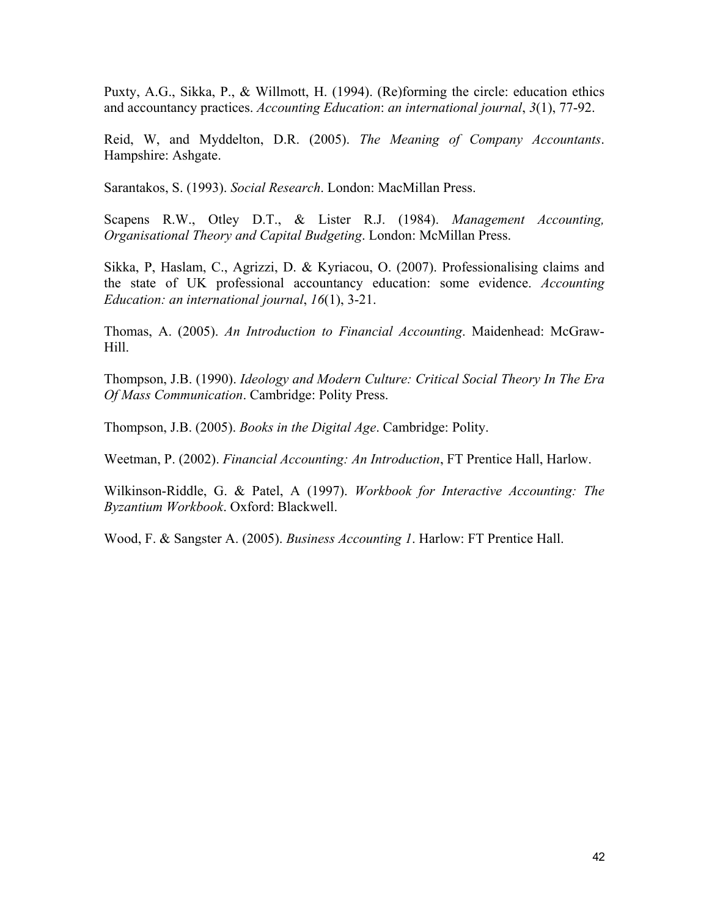Puxty, A.G., Sikka, P., & Willmott, H. (1994). (Re)forming the circle: education ethics and accountancy practices. *Accounting Education*: *an international journal*, *3*(1), 77-92.

Reid, W, and Myddelton, D.R. (2005). *The Meaning of Company Accountants*. Hampshire: Ashgate.

Sarantakos, S. (1993). *Social Research*. London: MacMillan Press.

Scapens R.W., Otley D.T., & Lister R.J. (1984). *Management Accounting, Organisational Theory and Capital Budgeting*. London: McMillan Press.

Sikka, P, Haslam, C., Agrizzi, D. & Kyriacou, O. (2007). Professionalising claims and the state of UK professional accountancy education: some evidence. *Accounting Education: an international journal*, *16*(1), 3-21.

Thomas, A. (2005). *An Introduction to Financial Accounting*. Maidenhead: McGraw-Hill.

Thompson, J.B. (1990). *Ideology and Modern Culture: Critical Social Theory In The Era Of Mass Communication*. Cambridge: Polity Press.

Thompson, J.B. (2005). *Books in the Digital Age*. Cambridge: Polity.

Weetman, P. (2002). *Financial Accounting: An Introduction*, FT Prentice Hall, Harlow.

Wilkinson-Riddle, G. & Patel, A (1997). *Workbook for Interactive Accounting: The Byzantium Workbook*. Oxford: Blackwell.

Wood, F. & Sangster A. (2005). *Business Accounting 1*. Harlow: FT Prentice Hall.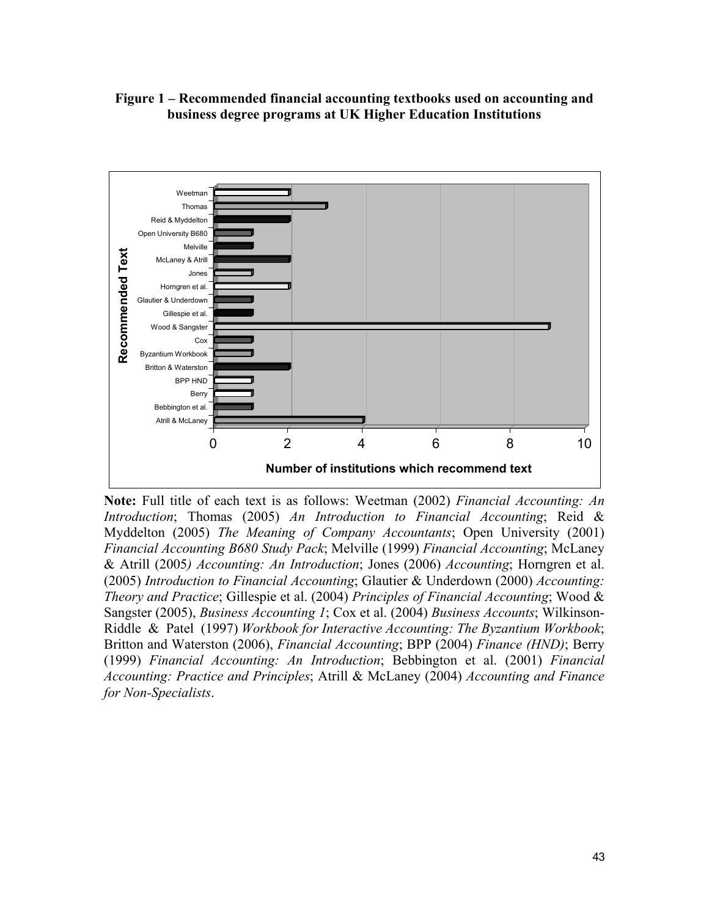# **Figure 1 – Recommended financial accounting textbooks used on accounting and business degree programs at UK Higher Education Institutions**



**Note:** Full title of each text is as follows: Weetman (2002) *Financial Accounting: An Introduction*; Thomas (2005) *An Introduction to Financial Accounting*; Reid & Myddelton (2005) *The Meaning of Company Accountants*; Open University (2001) *Financial Accounting B680 Study Pack*; Melville (1999) *Financial Accounting*; McLaney & Atrill (2005*) Accounting: An Introduction*; Jones (2006) *Accounting*; Horngren et al. (2005) *Introduction to Financial Accounting*; Glautier & Underdown (2000) *Accounting: Theory and Practice*; Gillespie et al. (2004) *Principles of Financial Accounting*; Wood & Sangster (2005), *Business Accounting 1*; Cox et al. (2004) *Business Accounts*; Wilkinson-Riddle & Patel (1997) *Workbook for Interactive Accounting: The Byzantium Workbook*; Britton and Waterston (2006), *Financial Accounting*; BPP (2004) *Finance (HND)*; Berry (1999) *Financial Accounting: An Introduction*; Bebbington et al. (2001) *Financial Accounting: Practice and Principles*; Atrill & McLaney (2004) *Accounting and Finance for Non-Specialists*.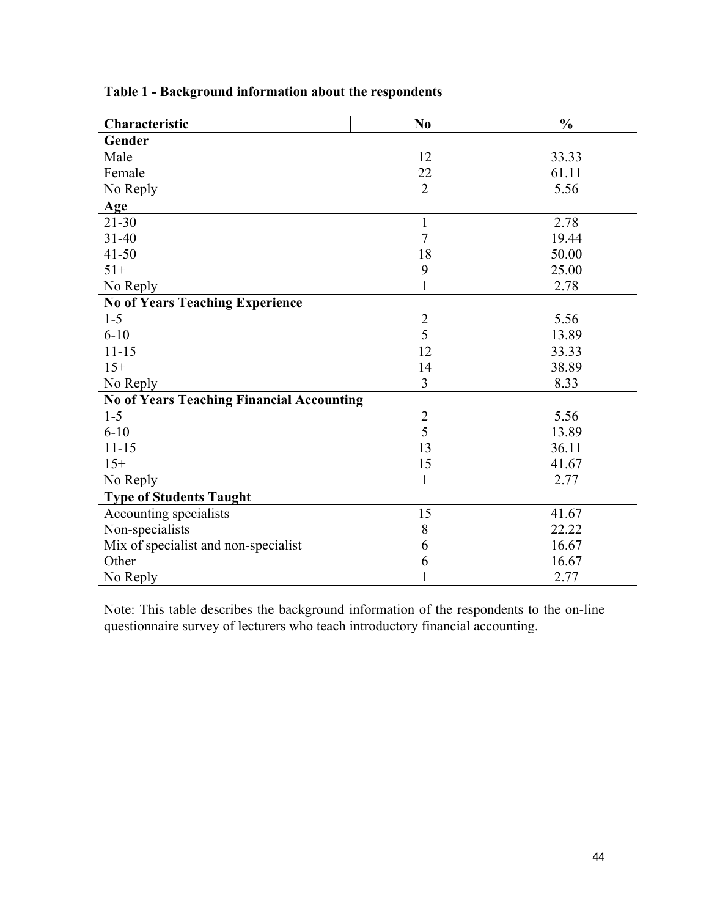| Characteristic                                   | N <sub>0</sub> | $\frac{0}{0}$ |  |  |  |  |  |
|--------------------------------------------------|----------------|---------------|--|--|--|--|--|
| Gender                                           |                |               |  |  |  |  |  |
| Male                                             | 12             | 33.33         |  |  |  |  |  |
| Female                                           | 22             | 61.11         |  |  |  |  |  |
| No Reply                                         | $\overline{2}$ | 5.56          |  |  |  |  |  |
| Age                                              |                |               |  |  |  |  |  |
| $21 - 30$                                        | 1              | 2.78          |  |  |  |  |  |
| $31 - 40$                                        | $\overline{7}$ | 19.44         |  |  |  |  |  |
| $41 - 50$                                        | 18             | 50.00         |  |  |  |  |  |
| $51+$                                            | 9              | 25.00         |  |  |  |  |  |
| No Reply                                         | 1              | 2.78          |  |  |  |  |  |
| <b>No of Years Teaching Experience</b>           |                |               |  |  |  |  |  |
| $1 - 5$                                          | $\overline{2}$ | 5.56          |  |  |  |  |  |
| $6 - 10$                                         | 5              | 13.89         |  |  |  |  |  |
| $11 - 15$                                        | 12             | 33.33         |  |  |  |  |  |
| $15+$                                            | 14             | 38.89         |  |  |  |  |  |
| No Reply                                         | 3              | 8.33          |  |  |  |  |  |
| <b>No of Years Teaching Financial Accounting</b> |                |               |  |  |  |  |  |
| $1 - 5$                                          | $\overline{2}$ | 5.56          |  |  |  |  |  |
| $6 - 10$                                         | 5              | 13.89         |  |  |  |  |  |
| $11 - 15$                                        | 13             | 36.11         |  |  |  |  |  |
| $15+$                                            | 15             | 41.67         |  |  |  |  |  |
| No Reply                                         | 1              | 2.77          |  |  |  |  |  |
| <b>Type of Students Taught</b>                   |                |               |  |  |  |  |  |
| Accounting specialists                           | 15             | 41.67         |  |  |  |  |  |
| Non-specialists                                  | 8              | 22.22         |  |  |  |  |  |
| Mix of specialist and non-specialist             | 6              | 16.67         |  |  |  |  |  |
| Other                                            | 6              | 16.67         |  |  |  |  |  |
| No Reply                                         |                | 2.77          |  |  |  |  |  |

# **Table 1 - Background information about the respondents**

Note: This table describes the background information of the respondents to the on-line questionnaire survey of lecturers who teach introductory financial accounting.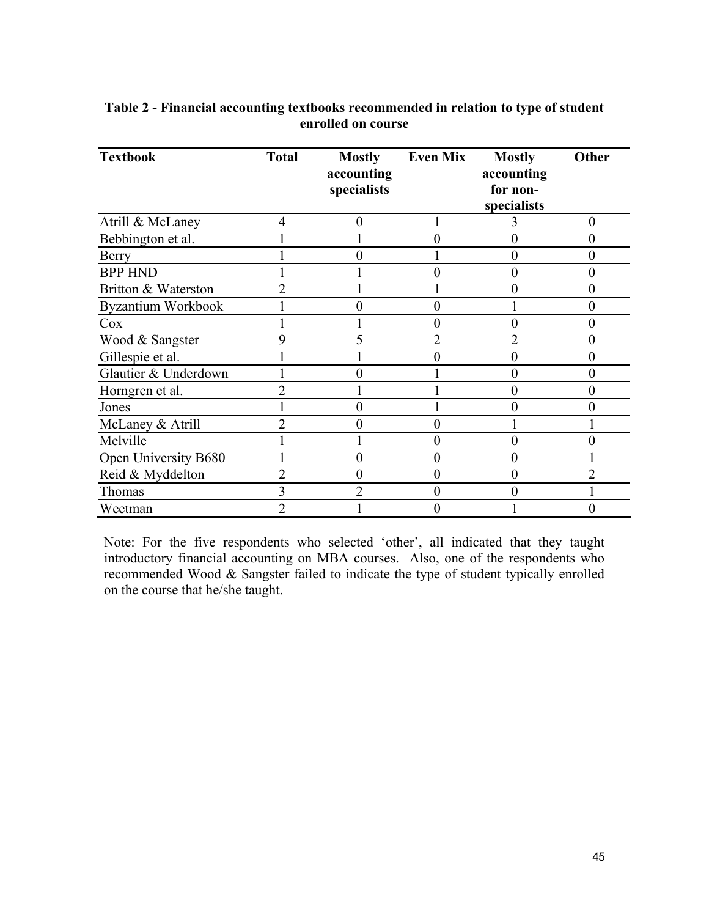| <b>Textbook</b>           | <b>Total</b>   | <b>Mostly</b><br>accounting<br>specialists | <b>Even Mix</b> | <b>Mostly</b><br>accounting<br>for non-<br>specialists | Other          |
|---------------------------|----------------|--------------------------------------------|-----------------|--------------------------------------------------------|----------------|
| Atrill & McLaney          | 4              | $\boldsymbol{0}$                           |                 |                                                        | $\overline{0}$ |
| Bebbington et al.         |                |                                            |                 | 0                                                      | 0              |
| <b>Berry</b>              |                |                                            |                 | $\overline{0}$                                         | 0              |
| <b>BPP HND</b>            |                |                                            |                 | $\boldsymbol{0}$                                       | 0              |
| Britton & Waterston       |                |                                            |                 | $\overline{0}$                                         | 0              |
| <b>Byzantium Workbook</b> |                |                                            |                 |                                                        |                |
| Cox                       |                |                                            | 0               | $\boldsymbol{0}$                                       | 0              |
| Wood & Sangster           | q              |                                            | $\overline{2}$  | $\overline{2}$                                         | 0              |
| Gillespie et al.          |                |                                            |                 | $\overline{0}$                                         | 0              |
| Glautier & Underdown      |                | 0                                          |                 | $\boldsymbol{0}$                                       | 0              |
| Horngren et al.           |                |                                            |                 | 0                                                      |                |
| Jones                     |                | 0                                          |                 | $\overline{0}$                                         |                |
| McLaney & Atrill          | 2              | $\theta$                                   | 0               |                                                        |                |
| Melville                  |                |                                            | 0               | $\overline{0}$                                         |                |
| Open University B680      |                | 0                                          | 0               | $\overline{0}$                                         |                |
| Reid & Myddelton          | $\overline{2}$ | $\overline{0}$                             | $\overline{0}$  | $\overline{0}$                                         | $\overline{2}$ |
| Thomas                    | 3              | 2                                          |                 | 0                                                      |                |
| Weetman                   |                |                                            |                 |                                                        |                |

# **Table 2 - Financial accounting textbooks recommended in relation to type of student enrolled on course**

Note: For the five respondents who selected 'other', all indicated that they taught introductory financial accounting on MBA courses. Also, one of the respondents who recommended Wood & Sangster failed to indicate the type of student typically enrolled on the course that he/she taught.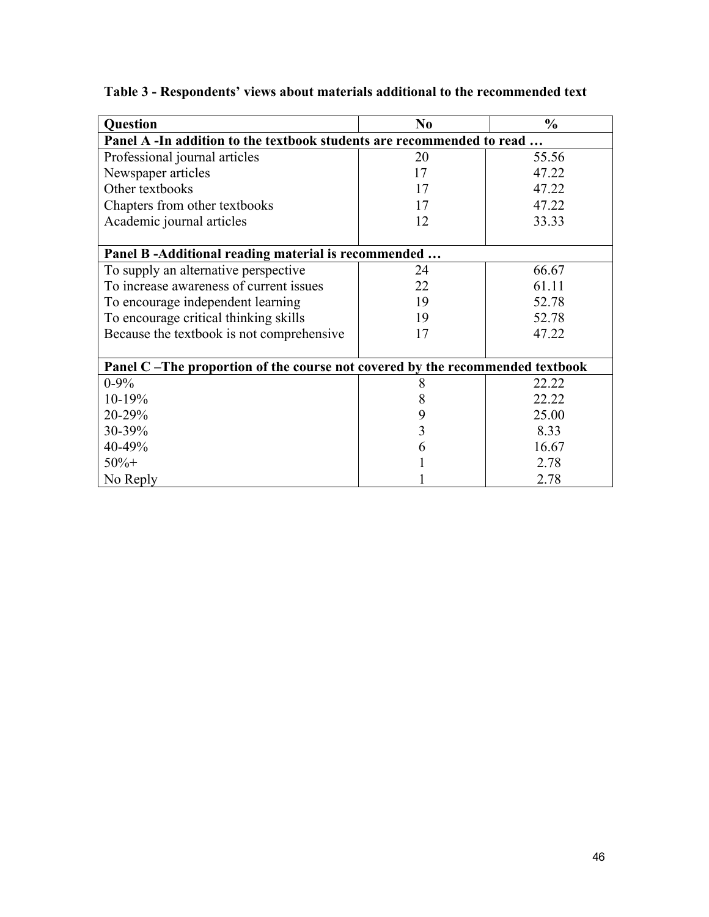| <b>Question</b>                                                              | N <sub>0</sub> | $\frac{0}{0}$ |  |  |  |  |  |
|------------------------------------------------------------------------------|----------------|---------------|--|--|--|--|--|
| Panel A -In addition to the textbook students are recommended to read        |                |               |  |  |  |  |  |
| Professional journal articles                                                | 20             | 55.56         |  |  |  |  |  |
| Newspaper articles                                                           | 17             | 47.22         |  |  |  |  |  |
| Other textbooks                                                              | 17             | 47.22         |  |  |  |  |  |
| Chapters from other textbooks                                                | 17             | 47.22         |  |  |  |  |  |
| Academic journal articles                                                    | 12             | 33.33         |  |  |  |  |  |
|                                                                              |                |               |  |  |  |  |  |
| Panel B-Additional reading material is recommended                           |                |               |  |  |  |  |  |
| To supply an alternative perspective                                         | 24             | 66.67         |  |  |  |  |  |
| To increase awareness of current issues                                      | 22             | 61.11         |  |  |  |  |  |
| To encourage independent learning                                            | 19             | 52.78         |  |  |  |  |  |
| To encourage critical thinking skills                                        | 19             | 52.78         |  |  |  |  |  |
| Because the textbook is not comprehensive                                    | 17             | 47.22         |  |  |  |  |  |
|                                                                              |                |               |  |  |  |  |  |
| Panel C-The proportion of the course not covered by the recommended textbook |                |               |  |  |  |  |  |
| $0 - 9\%$                                                                    | 8              | 22.22         |  |  |  |  |  |
| $10-19%$                                                                     | 8              | 22.22         |  |  |  |  |  |
| 20-29%                                                                       | 9              | 25.00         |  |  |  |  |  |
| 30-39%                                                                       | 3              | 8.33          |  |  |  |  |  |
| 40-49%                                                                       | 6              | 16.67         |  |  |  |  |  |
| $50% +$                                                                      |                | 2.78          |  |  |  |  |  |
| No Reply                                                                     |                | 2.78          |  |  |  |  |  |

Table 3 - Respondents' views about materials additional to the recommended text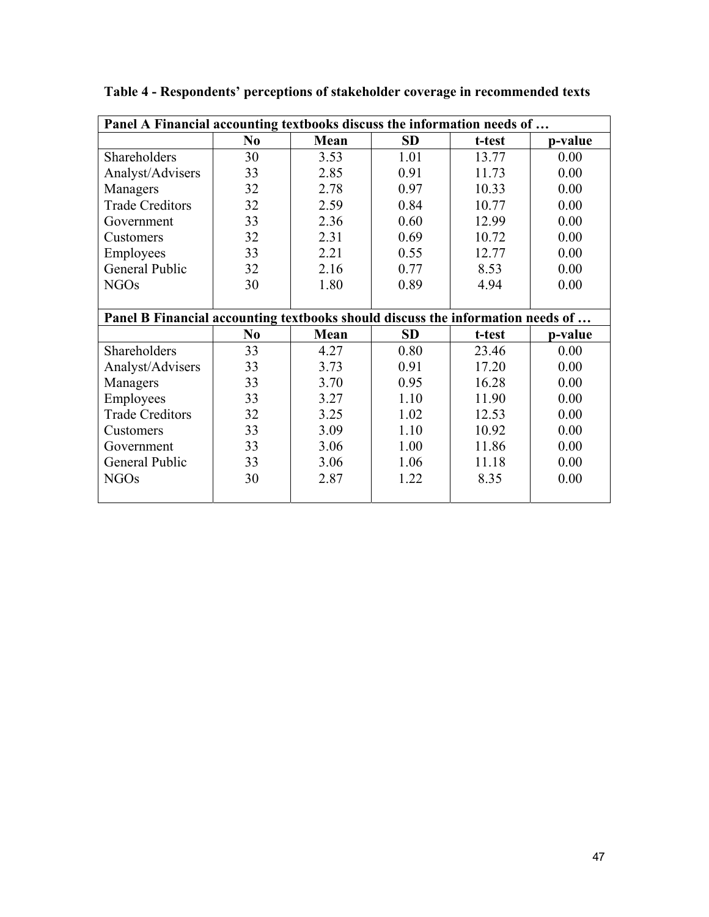| Panel A Financial accounting textbooks discuss the information needs of        |                |                                        |      |       |      |  |  |  |  |  |
|--------------------------------------------------------------------------------|----------------|----------------------------------------|------|-------|------|--|--|--|--|--|
|                                                                                | N <sub>0</sub> | Mean<br><b>SD</b><br>t-test<br>p-value |      |       |      |  |  |  |  |  |
| Shareholders                                                                   | 30             | 3.53                                   | 1.01 | 13.77 | 0.00 |  |  |  |  |  |
| Analyst/Advisers                                                               | 33             | 2.85                                   | 0.91 | 11.73 | 0.00 |  |  |  |  |  |
| Managers                                                                       | 32             | 2.78                                   | 0.97 | 10.33 | 0.00 |  |  |  |  |  |
| <b>Trade Creditors</b>                                                         | 32             | 2.59                                   | 0.84 | 10.77 | 0.00 |  |  |  |  |  |
| Government                                                                     | 33             | 2.36                                   | 0.60 | 12.99 | 0.00 |  |  |  |  |  |
| Customers                                                                      | 32             | 2.31                                   | 0.69 | 10.72 | 0.00 |  |  |  |  |  |
| Employees                                                                      | 33             | 2.21                                   | 0.55 | 12.77 | 0.00 |  |  |  |  |  |
| General Public                                                                 | 32             | 2.16                                   | 0.77 | 8.53  | 0.00 |  |  |  |  |  |
| <b>NGOs</b>                                                                    | 30             | 1.80                                   | 0.89 | 4.94  | 0.00 |  |  |  |  |  |
|                                                                                |                |                                        |      |       |      |  |  |  |  |  |
| Panel B Financial accounting textbooks should discuss the information needs of |                |                                        |      |       |      |  |  |  |  |  |
|                                                                                | N <sub>0</sub> | <b>SD</b><br>Mean<br>t-test<br>p-value |      |       |      |  |  |  |  |  |
| Shareholders                                                                   | 33             | 4.27                                   | 0.80 | 23.46 | 0.00 |  |  |  |  |  |
| Analyst/Advisers                                                               | 33             | 3.73                                   | 0.91 | 17.20 | 0.00 |  |  |  |  |  |
| Managers                                                                       | 33             | 3.70                                   | 0.95 | 16.28 | 0.00 |  |  |  |  |  |
| Employees                                                                      | 33             | 3.27                                   | 1.10 | 11.90 | 0.00 |  |  |  |  |  |
| <b>Trade Creditors</b>                                                         | 32             | 3.25                                   | 1.02 | 12.53 | 0.00 |  |  |  |  |  |
| Customers                                                                      | 33             | 3.09                                   | 1.10 | 10.92 | 0.00 |  |  |  |  |  |
| Government                                                                     | 33             | 3.06                                   | 1.00 | 11.86 | 0.00 |  |  |  |  |  |
| General Public                                                                 | 33             | 3.06                                   | 1.06 | 11.18 | 0.00 |  |  |  |  |  |
| <b>NGOs</b>                                                                    | 30             | 2.87                                   | 1.22 | 8.35  | 0.00 |  |  |  |  |  |
|                                                                                |                |                                        |      |       |      |  |  |  |  |  |

Table 4 - Respondents' perceptions of stakeholder coverage in recommended texts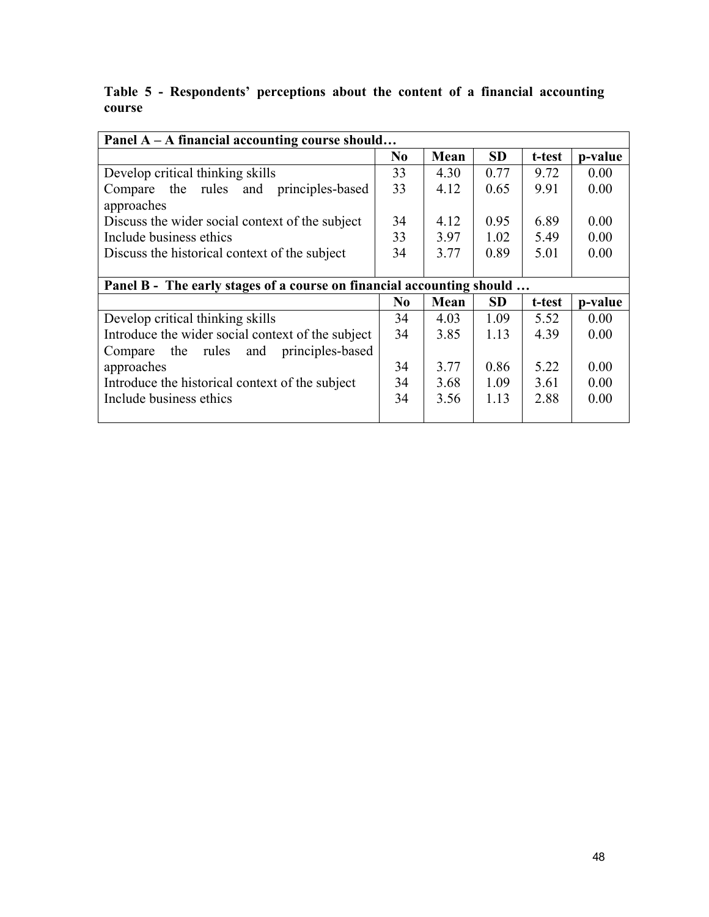| Table 5 - Respondents' perceptions about the content of a financial accounting |  |  |  |  |
|--------------------------------------------------------------------------------|--|--|--|--|
| course                                                                         |  |  |  |  |

| Panel $A - A$ financial accounting course should                      |                |      |           |        |         |  |  |
|-----------------------------------------------------------------------|----------------|------|-----------|--------|---------|--|--|
|                                                                       | N <sub>0</sub> | Mean | <b>SD</b> | t-test | p-value |  |  |
| Develop critical thinking skills                                      | 33             | 4.30 | 0.77      | 9.72   | 0.00    |  |  |
| Compare the rules and principles-based                                | 33             | 4.12 | 0.65      | 9.91   | 0.00    |  |  |
| approaches                                                            |                |      |           |        |         |  |  |
| Discuss the wider social context of the subject                       | 34             | 4.12 | 0.95      | 6.89   | 0.00    |  |  |
| Include business ethics                                               | 33             | 3.97 | 1.02      | 5.49   | 0.00    |  |  |
| Discuss the historical context of the subject                         | 34             | 3.77 | 0.89      | 5.01   | 0.00    |  |  |
|                                                                       |                |      |           |        |         |  |  |
| Panel B - The early stages of a course on financial accounting should |                |      |           |        |         |  |  |
|                                                                       | N <sub>0</sub> | Mean | <b>SD</b> | t-test | p-value |  |  |
| Develop critical thinking skills                                      | 34             | 4.03 | 1.09      | 5.52   | 0.00    |  |  |
| Introduce the wider social context of the subject                     | 34             | 3.85 | 1.13      | 4.39   | 0.00    |  |  |
| the rules and<br>principles-based<br>Compare                          |                |      |           |        |         |  |  |
| approaches                                                            | 34             | 3.77 | 0.86      | 5.22   | 0.00    |  |  |
| Introduce the historical context of the subject                       | 34             | 3.68 | 1.09      | 3.61   | 0.00    |  |  |
| Include business ethics                                               | 34             | 3.56 | 1.13      | 2.88   | 0.00    |  |  |
|                                                                       |                |      |           |        |         |  |  |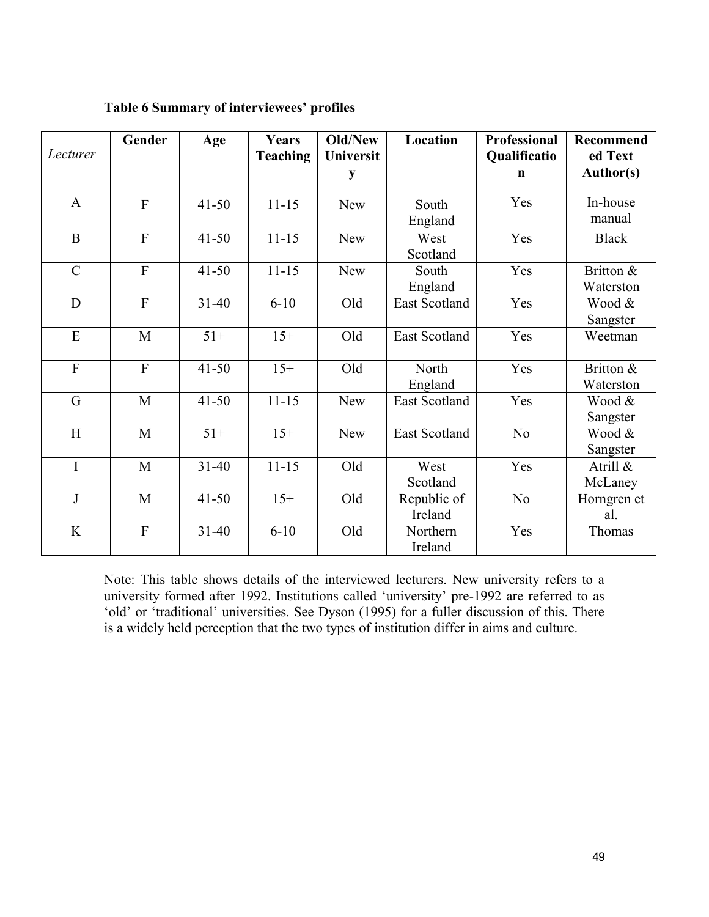| Table 6 Summary of interviewees' profiles |  |  |
|-------------------------------------------|--|--|
|-------------------------------------------|--|--|

<span id="page-49-1"></span><span id="page-49-0"></span>

| Lecturer       | Gender         | Age       | Years<br><b>Teaching</b> | <b>Old/New</b><br>Universit | Location               | <b>Professional</b><br>Qualificatio | Recommend<br>ed Text   |
|----------------|----------------|-----------|--------------------------|-----------------------------|------------------------|-------------------------------------|------------------------|
|                |                |           |                          | y                           |                        | $\mathbf n$                         | Author(s)              |
| $\mathbf{A}$   | $\overline{F}$ | $41 - 50$ | $11 - 15$                | <b>New</b>                  | South<br>England       | Yes                                 | In-house<br>manual     |
| $\mathbf{B}$   | $\overline{F}$ | $41 - 50$ | $11 - 15$                | <b>New</b>                  | West<br>Scotland       | Yes                                 | <b>Black</b>           |
| $\mathcal{C}$  | $\overline{F}$ | $41 - 50$ | $11 - 15$                | <b>New</b>                  | South<br>England       | Yes                                 | Britton &<br>Waterston |
| D              | $\overline{F}$ | $31 - 40$ | $6 - 10$                 | Old                         | East Scotland          | Yes                                 | Wood &<br>Sangster     |
| E              | M              | $51+$     | $15+$                    | Old                         | <b>East Scotland</b>   | Yes                                 | Weetman                |
| $\overline{F}$ | $\overline{F}$ | $41 - 50$ | $15+$                    | Old                         | North<br>England       | Yes                                 | Britton &<br>Waterston |
| G              | M              | $41 - 50$ | $11 - 15$                | <b>New</b>                  | <b>East Scotland</b>   | Yes                                 | Wood &<br>Sangster     |
| H              | M              | $51+$     | $15+$                    | <b>New</b>                  | <b>East Scotland</b>   | N <sub>o</sub>                      | Wood &<br>Sangster     |
| $\mathbf I$    | M              | $31 - 40$ | $11 - 15$                | Old                         | West<br>Scotland       | Yes                                 | Atrill &<br>McLaney    |
| J              | M              | $41 - 50$ | $15+$                    | Old                         | Republic of<br>Ireland | N <sub>o</sub>                      | Horngren et<br>al.     |
| K              | $\overline{F}$ | $31 - 40$ | $6 - 10$                 | Old                         | Northern<br>Ireland    | Yes                                 | Thomas                 |

Note: This table shows details of the interviewed lecturers. New university refers to a university formed after 1992. Institutions called 'university' pre-1992 are referred to as 'old' or 'traditional' universities. See Dyson (1995) for a fuller discussion of this. There is a widely held perception that the two types of institution differ in aims and culture.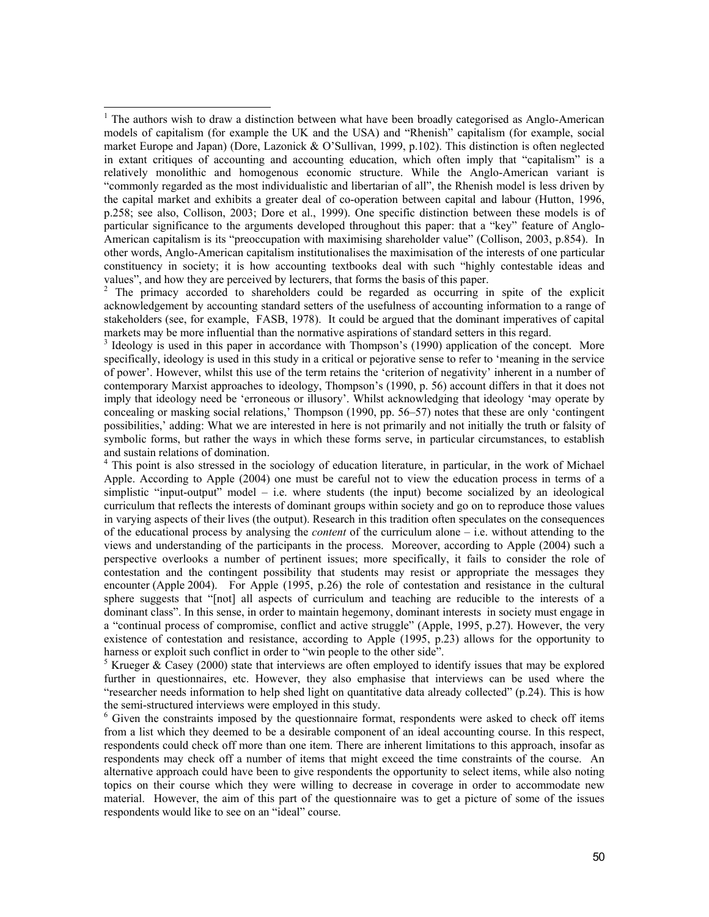1 The authors wish to draw a distinction between what have been broadly categorised as Anglo-American models of capitalism (for example the UK and the USA) and "Rhenish" capitalism (for example, social market Europe and Japan) (Dore, Lazonick & O'Sullivan, 1999, p.102). This distinction is often neglected in extant critiques of accounting and accounting education, which often imply that "capitalism" is a relatively monolithic and homogenous economic structure. While the Anglo-American variant is ìcommonly regarded as the most individualistic and libertarian of allî, the Rhenish model is less driven by the capital market and exhibits a greater deal of co-operation between capital and labour (Hutton, 1996, p.258; see also, Collison, 2003; Dore et al., 1999). One specific distinction between these models is of particular significance to the arguments developed throughout this paper: that a "key" feature of Anglo-American capitalism is its "preoccupation with maximising shareholder value" (Collison, 2003, p.854). In other words, Anglo-American capitalism institutionalises the maximisation of the interests of one particular constituency in society; it is how accounting textbooks deal with such "highly contestable ideas and values", and how they are perceived by lecturers, that forms the basis of this paper.

<span id="page-50-0"></span>-

<sup>2</sup> The primacy accorded to shareholders could be regarded as occurring in spite of the explicit acknowledgement by accounting standard setters of the usefulness of accounting information to a range of stakeholders (see, for example, FASB, 1978). It could be argued that the dominant imperatives of capital markets may be more influential than the normative aspirations of standard setters in this regard.

<sup>3</sup> Ideology is used in this paper in accordance with Thompson's (1990) application of the concept. More specifically, ideology is used in this study in a critical or pejorative sense to refer to 'meaning in the service of power'. However, whilst this use of the term retains the 'criterion of negativity' inherent in a number of contemporary Marxist approaches to ideology, Thompson's (1990, p. 56) account differs in that it does not imply that ideology need be 'erroneous or illusory'. Whilst acknowledging that ideology 'may operate by concealing or masking social relations,<sup> $\gamma$ </sup> Thompson (1990, pp. 56–57) notes that these are only  $\gamma$  contingent possibilities,' adding: What we are interested in here is not primarily and not initially the truth or falsity of symbolic forms, but rather the ways in which these forms serve, in particular circumstances, to establish and sustain relations of domination.

<sup>4</sup> This point is also stressed in the sociology of education literature, in particular, in the work of Michael Apple. According to Apple (2004) one must be careful not to view the education process in terms of a simplistic "input-output" model  $-$  i.e. where students (the input) become socialized by an ideological curriculum that reflects the interests of dominant groups within society and go on to reproduce those values in varying aspects of their lives (the output). Research in this tradition often speculates on the consequences of the educational process by analysing the *content* of the curriculum alone – i.e. without attending to the views and understanding of the participants in the process. Moreover, according to Apple (2004) such a perspective overlooks a number of pertinent issues; more specifically, it fails to consider the role of contestation and the contingent possibility that students may resist or appropriate the messages they encounter (Apple 2004). For Apple (1995, p.26) the role of contestation and resistance in the cultural sphere suggests that "[not] all aspects of curriculum and teaching are reducible to the interests of a dominant classî. In this sense, in order to maintain hegemony, dominant interests in society must engage in a "continual process of compromise, conflict and active struggle" (Apple, 1995, p.27). However, the very existence of contestation and resistance, according to Apple (1995, p.23) allows for the opportunity to harness or exploit such conflict in order to "win people to the other side".

<sup>5</sup> Krueger & Casey (2000) state that interviews are often employed to identify issues that may be explored further in questionnaires, etc. However, they also emphasise that interviews can be used where the "researcher needs information to help shed light on quantitative data already collected" (p.24). This is how the semi-structured interviews were employed in this study.

<sup>6</sup> Given the constraints imposed by the questionnaire format, respondents were asked to check off items from a list which they deemed to be a desirable component of an ideal accounting course. In this respect, respondents could check off more than one item. There are inherent limitations to this approach, insofar as respondents may check off a number of items that might exceed the time constraints of the course. An alternative approach could have been to give respondents the opportunity to select items, while also noting topics on their course which they were willing to decrease in coverage in order to accommodate new material. However, the aim of this part of the questionnaire was to get a picture of some of the issues respondents would like to see on an "ideal" course.